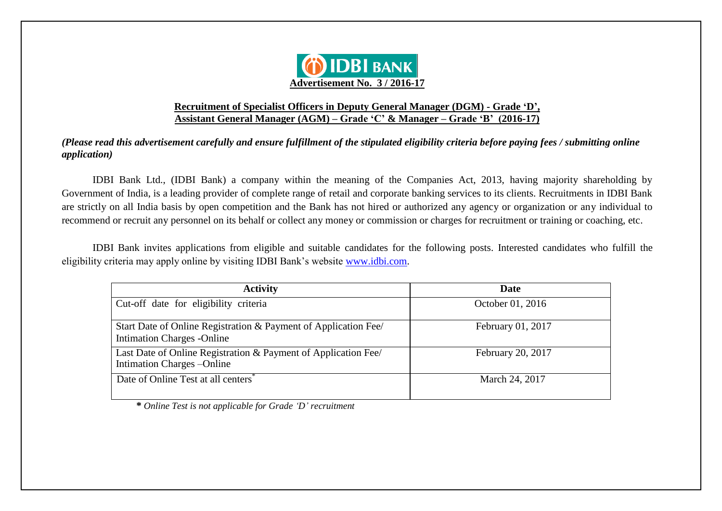

### **Recruitment of Specialist Officers in Deputy General Manager (DGM) - Grade 'D', Assistant General Manager (AGM) – Grade 'C' & Manager – Grade 'B' (2016-17)**

*(Please read this advertisement carefully and ensure fulfillment of the stipulated eligibility criteria before paying fees / submitting online application)*

IDBI Bank Ltd., (IDBI Bank) a company within the meaning of the Companies Act, 2013, having majority shareholding by Government of India, is a leading provider of complete range of retail and corporate banking services to its clients. Recruitments in IDBI Bank are strictly on all India basis by open competition and the Bank has not hired or authorized any agency or organization or any individual to recommend or recruit any personnel on its behalf or collect any money or commission or charges for recruitment or training or coaching, etc.

IDBI Bank invites applications from eligible and suitable candidates for the following posts. Interested candidates who fulfill the eligibility criteria may apply online by visiting IDBI Bank"s website www.idbi.com.

| <b>Activity</b>                                                                                     | Date              |
|-----------------------------------------------------------------------------------------------------|-------------------|
| Cut-off date for eligibility criteria                                                               | October 01, 2016  |
| Start Date of Online Registration & Payment of Application Fee<br><b>Intimation Charges -Online</b> | February 01, 2017 |
| Last Date of Online Registration & Payment of Application Fee/<br>Intimation Charges - Online       | February 20, 2017 |
| Date of Online Test at all centers                                                                  | March 24, 2017    |

 **\*** *Online Test is not applicable for Grade 'D' recruitment*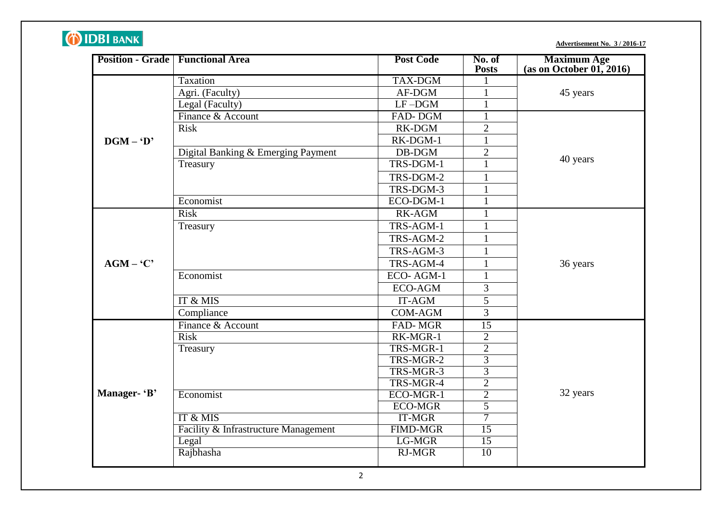# **DIDBI BANK**

**Advertisement No. 3 / 2016-17**

|              | <b>Position - Grade   Functional Area</b> | <b>Post Code</b> | No. of<br><b>Posts</b> | Maximum Age<br>(as on October 01, 2016) |
|--------------|-------------------------------------------|------------------|------------------------|-----------------------------------------|
|              | Taxation                                  | <b>TAX-DGM</b>   | $\mathbf{1}$           |                                         |
|              | Agri. (Faculty)                           | AF-DGM           | $\mathbf{1}$           | 45 years                                |
|              | Legal (Faculty)                           | $LF$ -DGM        |                        |                                         |
|              | Finance & Account                         | FAD-DGM          | $\mathbf{1}$           |                                         |
|              | <b>Risk</b>                               | RK-DGM           | $\overline{2}$         |                                         |
| $DGM - D'$   |                                           | RK-DGM-1         | $\mathbf{1}$           |                                         |
|              | Digital Banking & Emerging Payment        | $DB-DGM$         | $\overline{2}$         |                                         |
|              | Treasury                                  | TRS-DGM-1        | $\mathbf{1}$           | 40 years                                |
|              |                                           | TRS-DGM-2        | $\mathbf{1}$           |                                         |
|              |                                           | TRS-DGM-3        | $\mathbf{1}$           |                                         |
|              | Economist                                 | ECO-DGM-1        | $\mathbf{1}$           |                                         |
|              | <b>Risk</b>                               | <b>RK-AGM</b>    | 1                      |                                         |
|              | Treasury                                  | TRS-AGM-1        | $\mathbf{1}$           |                                         |
|              |                                           | TRS-AGM-2        | $\mathbf{1}$           |                                         |
|              |                                           | TRS-AGM-3        | $\mathbf{1}$           |                                         |
| $AGM - 'C'$  |                                           | TRS-AGM-4        | $\mathbf{1}$           | 36 years                                |
|              | Economist                                 | ECO-AGM-1        | $\mathbf{1}$           |                                         |
|              |                                           | ECO-AGM          | $\overline{3}$         |                                         |
|              | IT & MIS                                  | IT-AGM           | $\overline{5}$         |                                         |
|              | Compliance                                | <b>COM-AGM</b>   | $\overline{3}$         |                                         |
|              | Finance & Account                         | FAD-MGR          | 15                     |                                         |
|              | <b>Risk</b>                               | RK-MGR-1         | $\overline{2}$         |                                         |
|              | Treasury                                  | TRS-MGR-1        | $\overline{2}$         |                                         |
|              |                                           | TRS-MGR-2        | $\overline{3}$         |                                         |
|              |                                           | TRS-MGR-3        | $\overline{3}$         |                                         |
|              |                                           | TRS-MGR-4        | $\overline{2}$         |                                         |
| Manager- 'B' | Economist                                 | ECO-MGR-1        | $\overline{2}$         | 32 years                                |
|              |                                           | <b>ECO-MGR</b>   | $\overline{5}$         |                                         |
|              | IT & MIS                                  | <b>IT-MGR</b>    | $\overline{7}$         |                                         |
|              | Facility & Infrastructure Management      | <b>FIMD-MGR</b>  | $\overline{15}$        |                                         |
|              | Legal                                     | LG-MGR           | $\overline{15}$        |                                         |
|              | Rajbhasha                                 | $RJ-MGR$         | 10                     |                                         |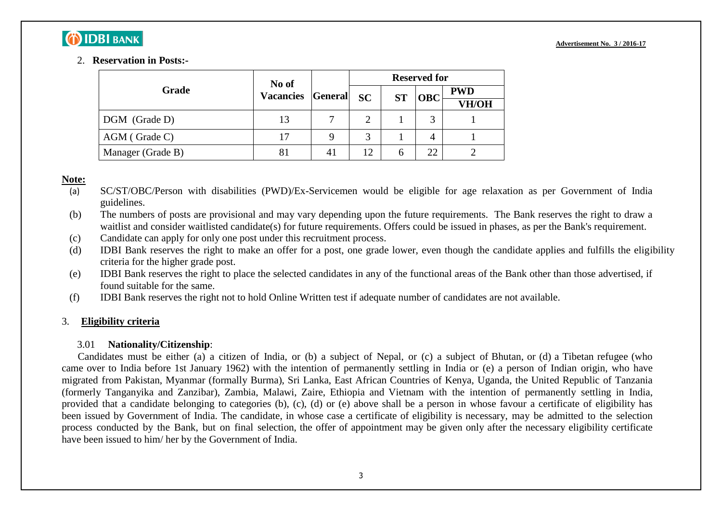## **O IDBI BANK**

### 2. **Reservation in Posts:-**

|                   | No of                    |  |               |              | <b>Reserved for</b> |            |  |  |
|-------------------|--------------------------|--|---------------|--------------|---------------------|------------|--|--|
| Grade             | <b>Vacancies General</b> |  | SC            | <b>ST</b>    | <b>OBC</b>          | <b>PWD</b> |  |  |
|                   |                          |  |               |              |                     | VH/OH      |  |  |
| DGM (Grade D)     | 13                       |  | $\mathcal{D}$ |              |                     |            |  |  |
| AGM (Grade C)     | 17                       |  | $\mathbf{R}$  |              |                     |            |  |  |
| Manager (Grade B) | 81                       |  | 12            | <sub>0</sub> | 22                  |            |  |  |

### **Note:**

- (a) SC/ST/OBC/Person with disabilities (PWD)/Ex-Servicemen would be eligible for age relaxation as per Government of India guidelines.
- (b) The numbers of posts are provisional and may vary depending upon the future requirements. The Bank reserves the right to draw a waitlist and consider waitlisted candidate(s) for future requirements. Offers could be issued in phases, as per the Bank's requirement.
- (c) Candidate can apply for only one post under this recruitment process.
- (d) IDBI Bank reserves the right to make an offer for a post, one grade lower, even though the candidate applies and fulfills the eligibility criteria for the higher grade post.
- (e) IDBI Bank reserves the right to place the selected candidates in any of the functional areas of the Bank other than those advertised, if found suitable for the same.
- (f) IDBI Bank reserves the right not to hold Online Written test if adequate number of candidates are not available.

### 3. **Eligibility criteria**

### 3.01 **Nationality/Citizenship**:

Candidates must be either (a) a citizen of India, or (b) a subject of Nepal, or (c) a subject of Bhutan, or (d) a Tibetan refugee (who came over to India before 1st January 1962) with the intention of permanently settling in India or (e) a person of Indian origin, who have migrated from Pakistan, Myanmar (formally Burma), Sri Lanka, East African Countries of Kenya, Uganda, the United Republic of Tanzania (formerly Tanganyika and Zanzibar), Zambia, Malawi, Zaire, Ethiopia and Vietnam with the intention of permanently settling in India, provided that a candidate belonging to categories (b), (c), (d) or (e) above shall be a person in whose favour a certificate of eligibility has been issued by Government of India. The candidate, in whose case a certificate of eligibility is necessary, may be admitted to the selection process conducted by the Bank, but on final selection, the offer of appointment may be given only after the necessary eligibility certificate have been issued to him/ her by the Government of India.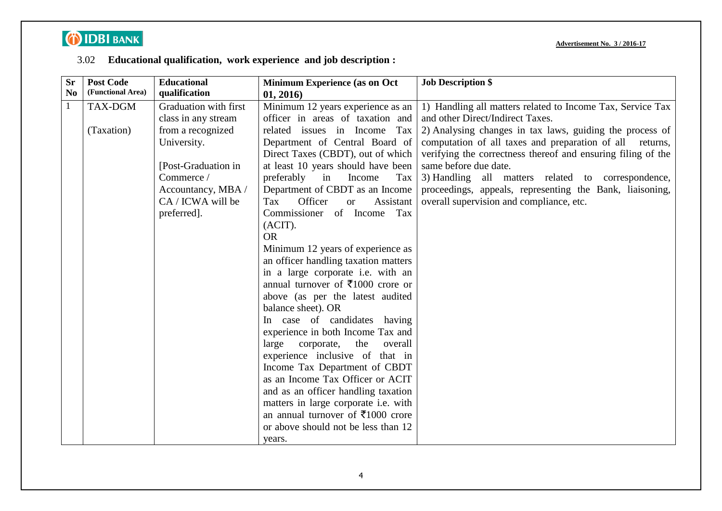# **DIDBI BANK**

**Advertisement No. 3 / 2016-17**

## 3.02 **Educational qualification, work experience and job description :**

| <b>Sr</b>      | <b>Post Code</b>  | <b>Educational</b>    | Minimum Experience (as on Oct                | <b>Job Description \$</b>                                    |
|----------------|-------------------|-----------------------|----------------------------------------------|--------------------------------------------------------------|
| N <sub>o</sub> | (Functional Area) | qualification         | 01, 2016)                                    |                                                              |
| $\mathbf{1}$   | TAX-DGM           | Graduation with first | Minimum 12 years experience as an            | 1) Handling all matters related to Income Tax, Service Tax   |
|                |                   | class in any stream   | officer in areas of taxation and             | and other Direct/Indirect Taxes.                             |
|                | (Taxation)        | from a recognized     | related issues in Income<br>Tax              | 2) Analysing changes in tax laws, guiding the process of     |
|                |                   | University.           | Department of Central Board of               | computation of all taxes and preparation of all returns,     |
|                |                   |                       | Direct Taxes (CBDT), out of which            | verifying the correctness thereof and ensuring filing of the |
|                |                   | [Post-Graduation in]  | at least 10 years should have been           | same before due date.                                        |
|                |                   | Commerce /            | preferably<br>Income<br>Tax<br>in            | 3) Handling all matters related to correspondence,           |
|                |                   | Accountancy, MBA /    | Department of CBDT as an Income              | proceedings, appeals, representing the Bank, liaisoning,     |
|                |                   | CA / ICWA will be     | Officer<br>Tax<br>Assistant<br><b>or</b>     | overall supervision and compliance, etc.                     |
|                |                   | preferred].           | Commissioner of Income<br>Tax                |                                                              |
|                |                   |                       | (ACIT).                                      |                                                              |
|                |                   |                       | <b>OR</b>                                    |                                                              |
|                |                   |                       | Minimum 12 years of experience as            |                                                              |
|                |                   |                       | an officer handling taxation matters         |                                                              |
|                |                   |                       | in a large corporate i.e. with an            |                                                              |
|                |                   |                       | annual turnover of ₹1000 crore or            |                                                              |
|                |                   |                       | above (as per the latest audited             |                                                              |
|                |                   |                       | balance sheet). OR                           |                                                              |
|                |                   |                       | In case of candidates having                 |                                                              |
|                |                   |                       | experience in both Income Tax and            |                                                              |
|                |                   |                       | large<br>the<br>corporate,<br>overall        |                                                              |
|                |                   |                       | experience inclusive of that in              |                                                              |
|                |                   |                       | Income Tax Department of CBDT                |                                                              |
|                |                   |                       | as an Income Tax Officer or ACIT             |                                                              |
|                |                   |                       | and as an officer handling taxation          |                                                              |
|                |                   |                       | matters in large corporate i.e. with         |                                                              |
|                |                   |                       | an annual turnover of $\bar{\tau}1000$ crore |                                                              |
|                |                   |                       | or above should not be less than 12          |                                                              |
|                |                   |                       | years.                                       |                                                              |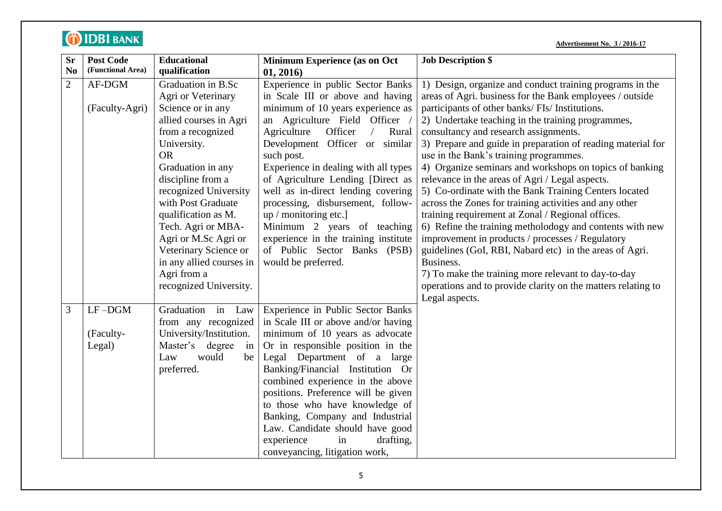|                | <b>O IDBI BANK</b> |                          |                                               | <b>Advertisement No. 3 / 2016-17</b>                         |
|----------------|--------------------|--------------------------|-----------------------------------------------|--------------------------------------------------------------|
| <b>Sr</b>      | <b>Post Code</b>   | <b>Educational</b>       | <b>Minimum Experience (as on Oct</b>          | <b>Job Description \$</b>                                    |
| N <sub>0</sub> | (Functional Area)  | qualification            | 01, 2016)                                     |                                                              |
| $\overline{2}$ | AF-DGM             | Graduation in B.Sc       | Experience in public Sector Banks             | 1) Design, organize and conduct training programs in the     |
|                |                    | Agri or Veterinary       | in Scale III or above and having              | areas of Agri. business for the Bank employees / outside     |
|                | (Faculty-Agri)     | Science or in any        | minimum of 10 years experience as             | participants of other banks/ FIs/ Institutions.              |
|                |                    | allied courses in Agri   | an Agriculture Field Officer /                | 2) Undertake teaching in the training programmes,            |
|                |                    | from a recognized        | Officer<br>Agriculture<br>$\sqrt{2}$<br>Rural | consultancy and research assignments.                        |
|                |                    | University.              | Development Officer or similar                | 3) Prepare and guide in preparation of reading material for  |
|                |                    | <b>OR</b>                | such post.                                    | use in the Bank's training programmes.                       |
|                |                    | Graduation in any        | Experience in dealing with all types          | 4) Organize seminars and workshops on topics of banking      |
|                |                    | discipline from a        | of Agriculture Lending [Direct as             | relevance in the areas of Agri / Legal aspects.              |
|                |                    | recognized University    | well as in-direct lending covering            | 5) Co-ordinate with the Bank Training Centers located        |
|                |                    | with Post Graduate       | processing, disbursement, follow-             | across the Zones for training activities and any other       |
|                |                    | qualification as M.      | up / monitoring etc.]                         | training requirement at Zonal / Regional offices.            |
|                |                    | Tech. Agri or MBA-       | Minimum 2 years of teaching                   | 6) Refine the training metholodogy and contents with new     |
|                |                    | Agri or M.Sc Agri or     | experience in the training institute          | improvement in products / processes / Regulatory             |
|                |                    | Veterinary Science or    | of Public Sector Banks (PSB)                  | guidelines (GoI, RBI, Nabard etc) in the areas of Agri.      |
|                |                    | in any allied courses in | would be preferred.                           | Business.                                                    |
|                |                    | Agri from a              |                                               | 7) To make the training more relevant to day-to-day          |
|                |                    | recognized University.   |                                               | operations and to provide clarity on the matters relating to |
|                |                    |                          |                                               | Legal aspects.                                               |
| 3              | $LF$ -DGM          | Graduation in Law        | Experience in Public Sector Banks             |                                                              |
|                |                    | from any recognized      | in Scale III or above and/or having           |                                                              |
|                | (Faculty-          | University/Institution.  | minimum of 10 years as advocate               |                                                              |
|                | Legal)             | Master's degree<br>in    | Or in responsible position in the             |                                                              |
|                |                    | would<br>Law<br>be       | Legal Department of a large                   |                                                              |
|                |                    | preferred.               | Banking/Financial Institution Or              |                                                              |
|                |                    |                          | combined experience in the above              |                                                              |
|                |                    |                          | positions. Preference will be given           |                                                              |
|                |                    |                          | to those who have knowledge of                |                                                              |
|                |                    |                          | Banking, Company and Industrial               |                                                              |
|                |                    |                          | Law. Candidate should have good               |                                                              |
|                |                    |                          | experience<br>in<br>drafting,                 |                                                              |
|                |                    |                          | conveyancing, litigation work,                |                                                              |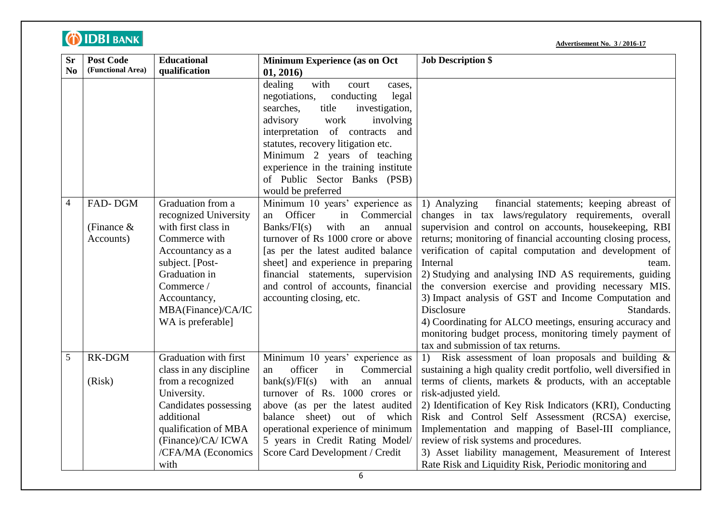| <b>Sr</b>      | <b>Post Code</b>  | <b>Educational</b>      | <b>Minimum Experience (as on Oct</b>  | <b>Job Description \$</b>                                       |
|----------------|-------------------|-------------------------|---------------------------------------|-----------------------------------------------------------------|
| No             | (Functional Area) | qualification           | 01, 2016)                             |                                                                 |
|                |                   |                         | with<br>dealing<br>court<br>cases,    |                                                                 |
|                |                   |                         | negotiations,<br>conducting<br>legal  |                                                                 |
|                |                   |                         | searches.<br>title<br>investigation,  |                                                                 |
|                |                   |                         | involving<br>advisory<br>work         |                                                                 |
|                |                   |                         | of contracts and<br>interpretation    |                                                                 |
|                |                   |                         | statutes, recovery litigation etc.    |                                                                 |
|                |                   |                         | Minimum 2 years of teaching           |                                                                 |
|                |                   |                         | experience in the training institute  |                                                                 |
|                |                   |                         | of Public Sector Banks (PSB)          |                                                                 |
|                |                   |                         | would be preferred                    |                                                                 |
| $\overline{4}$ | FAD-DGM           | Graduation from a       | Minimum 10 years' experience as       | financial statements; keeping abreast of<br>1) Analyzing        |
|                |                   | recognized University   | Officer<br>in<br>Commercial<br>an     | changes in tax laws/regulatory requirements, overall            |
|                | (Finance $\&$     | with first class in     | Banks/FI(s)<br>with<br>an<br>annual   | supervision and control on accounts, housekeeping, RBI          |
|                | Accounts)         | Commerce with           | turnover of Rs 1000 crore or above    | returns; monitoring of financial accounting closing process,    |
|                |                   | Accountancy as a        | [as per the latest audited balance    | verification of capital computation and development of          |
|                |                   | subject. [Post-         | sheet] and experience in preparing    | Internal<br>team.                                               |
|                |                   | Graduation in           | financial statements, supervision     | 2) Studying and analysing IND AS requirements, guiding          |
|                |                   | Commerce /              | and control of accounts, financial    | the conversion exercise and providing necessary MIS.            |
|                |                   | Accountancy,            | accounting closing, etc.              | 3) Impact analysis of GST and Income Computation and            |
|                |                   | MBA(Finance)/CA/IC      |                                       | Disclosure<br>Standards.                                        |
|                |                   | WA is preferable]       |                                       | 4) Coordinating for ALCO meetings, ensuring accuracy and        |
|                |                   |                         |                                       | monitoring budget process, monitoring timely payment of         |
|                |                   |                         |                                       | tax and submission of tax returns.                              |
| 5              | RK-DGM            | Graduation with first   | Minimum 10 years' experience as       | Risk assessment of loan proposals and building $\&$<br>1)       |
|                |                   | class in any discipline | officer<br>in<br>Commercial<br>an     | sustaining a high quality credit portfolio, well diversified in |
|                | (Risk)            | from a recognized       | bank(s)/FI(s)<br>with<br>an<br>annual | terms of clients, markets & products, with an acceptable        |
|                |                   | University.             | turnover of Rs. 1000 crores or        | risk-adjusted yield.                                            |
|                |                   | Candidates possessing   | above (as per the latest audited      | 2) Identification of Key Risk Indicators (KRI), Conducting      |
|                |                   | additional              | balance sheet) out of which           | Risk and Control Self Assessment (RCSA) exercise,               |
|                |                   | qualification of MBA    | operational experience of minimum     | Implementation and mapping of Basel-III compliance,             |
|                |                   | (Finance)/CA/ ICWA      | 5 years in Credit Rating Model/       | review of risk systems and procedures.                          |
|                |                   | /CFA/MA (Economics      | Score Card Development / Credit       | 3) Asset liability management, Measurement of Interest          |
|                |                   | with                    |                                       | Rate Risk and Liquidity Risk, Periodic monitoring and           |

**OIDBI** BANK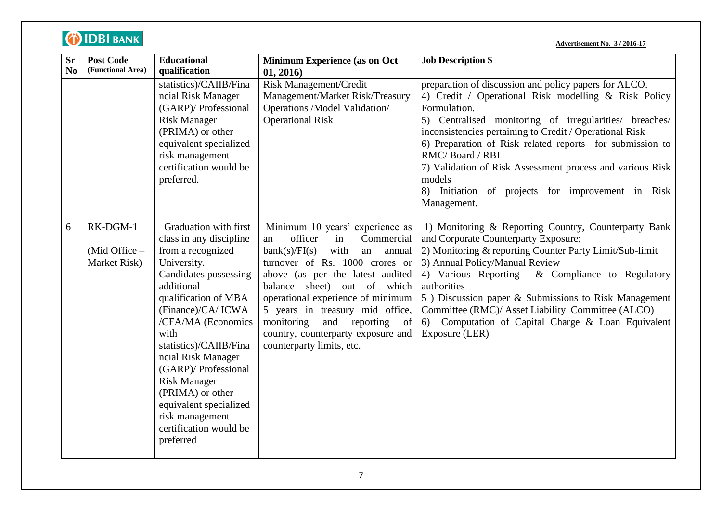| <b>Sr</b><br>No | <b>Post Code</b><br>(Functional Area)       | <b>Educational</b><br>qualification                                                                                                                                                                                                                                                                                                                                                                                  | <b>Minimum Experience (as on Oct</b><br>01, 2016)                                                                                                                                                                                                                                                                                                                                                     | <b>Job Description \$</b>                                                                                                                                                                                                                                                                                                                                                                                                                                                    |
|-----------------|---------------------------------------------|----------------------------------------------------------------------------------------------------------------------------------------------------------------------------------------------------------------------------------------------------------------------------------------------------------------------------------------------------------------------------------------------------------------------|-------------------------------------------------------------------------------------------------------------------------------------------------------------------------------------------------------------------------------------------------------------------------------------------------------------------------------------------------------------------------------------------------------|------------------------------------------------------------------------------------------------------------------------------------------------------------------------------------------------------------------------------------------------------------------------------------------------------------------------------------------------------------------------------------------------------------------------------------------------------------------------------|
|                 |                                             | statistics)/CAIIB/Fina<br>ncial Risk Manager<br>(GARP)/ Professional<br><b>Risk Manager</b><br>(PRIMA) or other<br>equivalent specialized<br>risk management<br>certification would be<br>preferred.                                                                                                                                                                                                                 | <b>Risk Management/Credit</b><br>Management/Market Risk/Treasury<br>Operations /Model Validation/<br><b>Operational Risk</b>                                                                                                                                                                                                                                                                          | preparation of discussion and policy papers for ALCO.<br>4) Credit / Operational Risk modelling & Risk Policy<br>Formulation.<br>5) Centralised monitoring of irregularities/ breaches/<br>inconsistencies pertaining to Credit / Operational Risk<br>6) Preparation of Risk related reports for submission to<br>RMC/Board / RBI<br>7) Validation of Risk Assessment process and various Risk<br>models<br>8) Initiation of projects for improvement in Risk<br>Management. |
| 6               | RK-DGM-1<br>(Mid Office $-$<br>Market Risk) | Graduation with first<br>class in any discipline<br>from a recognized<br>University.<br><b>Candidates possessing</b><br>additional<br>qualification of MBA<br>(Finance)/CA/ICWA<br>/CFA/MA (Economics<br>with<br>statistics)/CAIIB/Fina<br>ncial Risk Manager<br>(GARP)/ Professional<br><b>Risk Manager</b><br>(PRIMA) or other<br>equivalent specialized<br>risk management<br>certification would be<br>preferred | Minimum 10 years' experience as<br>officer<br>in<br>Commercial<br>an<br>bank(s)/FI(s)<br>with<br>an<br>annual<br>turnover of Rs. 1000 crores or<br>above (as per the latest audited<br>balance sheet) out of which<br>operational experience of minimum<br>5 years in treasury mid office,<br>monitoring<br>and<br>reporting<br>of<br>country, counterparty exposure and<br>counterparty limits, etc. | 1) Monitoring & Reporting Country, Counterparty Bank<br>and Corporate Counterparty Exposure;<br>2) Monitoring & reporting Counter Party Limit/Sub-limit<br>3) Annual Policy/Manual Review<br>& Compliance to Regulatory<br>4) Various Reporting<br>authorities<br>5) Discussion paper & Submissions to Risk Management<br>Committee (RMC)/ Asset Liability Committee (ALCO)<br>6) Computation of Capital Charge & Loan Equivalent<br>Exposure (LER)                          |

**OIDBI** BANK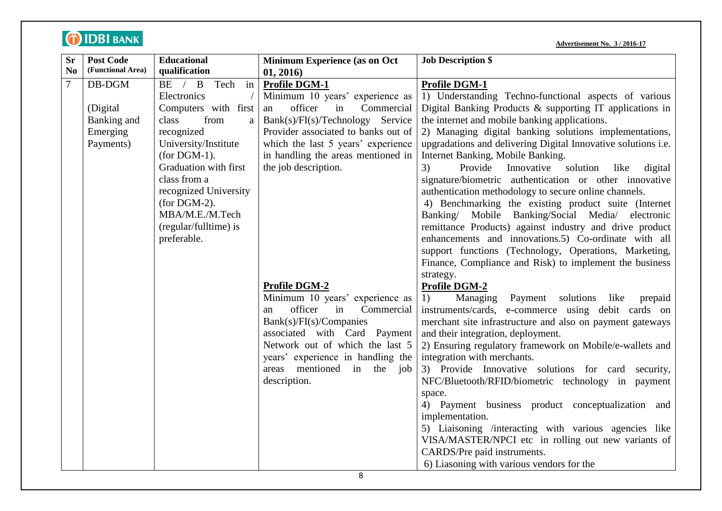| <b>Sr</b>      | <b>Post Code</b>  | <b>Educational</b>        | Minimum Experience (as on Oct                                   | <b>Job Description \$</b>                                     |
|----------------|-------------------|---------------------------|-----------------------------------------------------------------|---------------------------------------------------------------|
| N <sub>0</sub> | (Functional Area) | qualification             | 01, 2016)                                                       |                                                               |
| 7              | DB-DGM            | BE / B<br>Tech in         | <b>Profile DGM-1</b>                                            | <b>Profile DGM-1</b>                                          |
|                |                   | Electronics               | Minimum 10 years' experience as                                 | 1) Understanding Techno-functional aspects of various         |
|                | (Digital)         | Computers with first      | officer<br>Commercial<br>in<br>an                               | Digital Banking Products $\&$ supporting IT applications in   |
|                | Banking and       | from<br>class<br>$\rm{a}$ | Bank(s)/FI(s)/Technology Service                                | the internet and mobile banking applications.                 |
|                | Emerging          | recognized                | Provider associated to banks out of                             | 2) Managing digital banking solutions implementations,        |
|                | Payments)         | University/Institute      | which the last 5 years' experience                              | upgradations and delivering Digital Innovative solutions i.e. |
|                |                   | $(for$ DGM-1).            | in handling the areas mentioned in                              | Internet Banking, Mobile Banking.                             |
|                |                   | Graduation with first     | the job description.                                            | 3)<br>Provide<br>Innovative solution<br>like<br>digital       |
|                |                   | class from a              |                                                                 | signature/biometric authentication or other innovative        |
|                |                   | recognized University     |                                                                 | authentication methodology to secure online channels.         |
|                |                   | (for $DGM-2$ ).           |                                                                 | 4) Benchmarking the existing product suite (Internet          |
|                |                   | MBA/M.E./M.Tech           |                                                                 | Banking/ Mobile Banking/Social Media/ electronic              |
|                |                   | (regular/fulltime) is     |                                                                 | remittance Products) against industry and drive product       |
|                |                   | preferable.               |                                                                 | enhancements and innovations.5) Co-ordinate with all          |
|                |                   |                           |                                                                 | support functions (Technology, Operations, Marketing,         |
|                |                   |                           |                                                                 | Finance, Compliance and Risk) to implement the business       |
|                |                   |                           |                                                                 | strategy.                                                     |
|                |                   |                           | <b>Profile DGM-2</b>                                            | <b>Profile DGM-2</b>                                          |
|                |                   |                           | Minimum 10 years' experience as                                 | 1)<br>Managing<br>Payment<br>solutions<br>like<br>prepaid     |
|                |                   |                           | officer<br>in<br>Commercial<br>an                               | instruments/cards, e-commerce using debit cards on            |
|                |                   |                           | Bank(s)/FI(s)/Comparies                                         | merchant site infrastructure and also on payment gateways     |
|                |                   |                           | associated with Card Payment                                    | and their integration, deployment.                            |
|                |                   |                           | Network out of which the last 5                                 | 2) Ensuring regulatory framework on Mobile/e-wallets and      |
|                |                   |                           | years' experience in handling the<br>areas mentioned in the job | integration with merchants.                                   |
|                |                   |                           |                                                                 | 3) Provide Innovative solutions for card security,            |
|                |                   |                           | description.                                                    | NFC/Bluetooth/RFID/biometric technology in payment            |
|                |                   |                           |                                                                 | space.<br>4) Payment business product conceptualization and   |
|                |                   |                           |                                                                 | implementation.                                               |
|                |                   |                           |                                                                 | 5) Liaisoning /interacting with various agencies like         |
|                |                   |                           |                                                                 | VISA/MASTER/NPCI etc in rolling out new variants of           |
|                |                   |                           |                                                                 | CARDS/Pre paid instruments.                                   |
|                |                   |                           |                                                                 | 6) Liasoning with various vendors for the                     |
|                |                   |                           | 8                                                               |                                                               |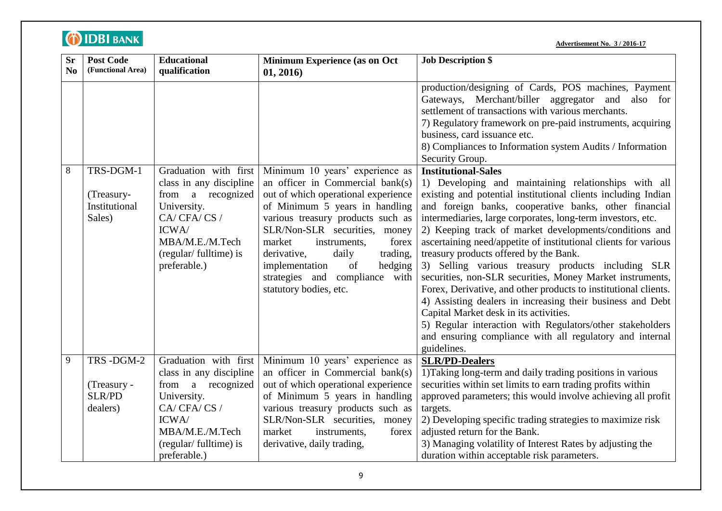| <b>Sr</b><br>No | <b>Post Code</b><br>(Functional Area)                 | <b>Educational</b><br>qualification                                                                                                                                     | Minimum Experience (as on Oct<br>01, 2016)                                                                                                                                                                                                                                                                                                                                                  | <b>Job Description \$</b>                                                                                                                                                                                                                                                                                                                                                                                                                                                                                                                                                                                                                                                                                                                                                                                                                                                                |
|-----------------|-------------------------------------------------------|-------------------------------------------------------------------------------------------------------------------------------------------------------------------------|---------------------------------------------------------------------------------------------------------------------------------------------------------------------------------------------------------------------------------------------------------------------------------------------------------------------------------------------------------------------------------------------|------------------------------------------------------------------------------------------------------------------------------------------------------------------------------------------------------------------------------------------------------------------------------------------------------------------------------------------------------------------------------------------------------------------------------------------------------------------------------------------------------------------------------------------------------------------------------------------------------------------------------------------------------------------------------------------------------------------------------------------------------------------------------------------------------------------------------------------------------------------------------------------|
|                 |                                                       |                                                                                                                                                                         |                                                                                                                                                                                                                                                                                                                                                                                             | production/designing of Cards, POS machines, Payment<br>Gateways, Merchant/biller aggregator and also for<br>settlement of transactions with various merchants.<br>7) Regulatory framework on pre-paid instruments, acquiring<br>business, card issuance etc.<br>8) Compliances to Information system Audits / Information<br>Security Group.                                                                                                                                                                                                                                                                                                                                                                                                                                                                                                                                            |
| 8               | TRS-DGM-1<br>(Treasury-<br>Institutional<br>Sales)    | Graduation with first<br>class in any discipline<br>from a recognized<br>University.<br>CA/CFA/CS/<br>ICWA/<br>MBA/M.E./M.Tech<br>(regular/fulltime) is<br>preferable.) | Minimum 10 years' experience as<br>an officer in Commercial bank(s)<br>out of which operational experience<br>of Minimum 5 years in handling<br>various treasury products such as<br>SLR/Non-SLR securities, money<br>market<br>instruments,<br>forex<br>derivative,<br>daily<br>trading,<br>of<br>implementation<br>hedging<br>strategies and compliance<br>with<br>statutory bodies, etc. | <b>Institutional-Sales</b><br>1) Developing and maintaining relationships with all<br>existing and potential institutional clients including Indian<br>and foreign banks, cooperative banks, other financial<br>intermediaries, large corporates, long-term investors, etc.<br>2) Keeping track of market developments/conditions and<br>ascertaining need/appetite of institutional clients for various<br>treasury products offered by the Bank.<br>3) Selling various treasury products including SLR<br>securities, non-SLR securities, Money Market instruments,<br>Forex, Derivative, and other products to institutional clients.<br>4) Assisting dealers in increasing their business and Debt<br>Capital Market desk in its activities.<br>5) Regular interaction with Regulators/other stakeholders<br>and ensuring compliance with all regulatory and internal<br>guidelines. |
| 9               | TRS-DGM-2<br>(Treasury -<br><b>SLR/PD</b><br>dealers) | Graduation with first<br>class in any discipline<br>from a recognized<br>University.<br>CA/CFA/CS/<br>ICWA/<br>MBA/M.E./M.Tech<br>(regular/fulltime) is<br>preferable.) | Minimum 10 years' experience as<br>an officer in Commercial bank(s)<br>out of which operational experience<br>of Minimum 5 years in handling<br>various treasury products such as<br>SLR/Non-SLR securities, money<br>market<br>instruments,<br>forex<br>derivative, daily trading,                                                                                                         | <b>SLR/PD-Dealers</b><br>1) Taking long-term and daily trading positions in various<br>securities within set limits to earn trading profits within<br>approved parameters; this would involve achieving all profit<br>targets.<br>2) Developing specific trading strategies to maximize risk<br>adjusted return for the Bank.<br>3) Managing volatility of Interest Rates by adjusting the<br>duration within acceptable risk parameters.                                                                                                                                                                                                                                                                                                                                                                                                                                                |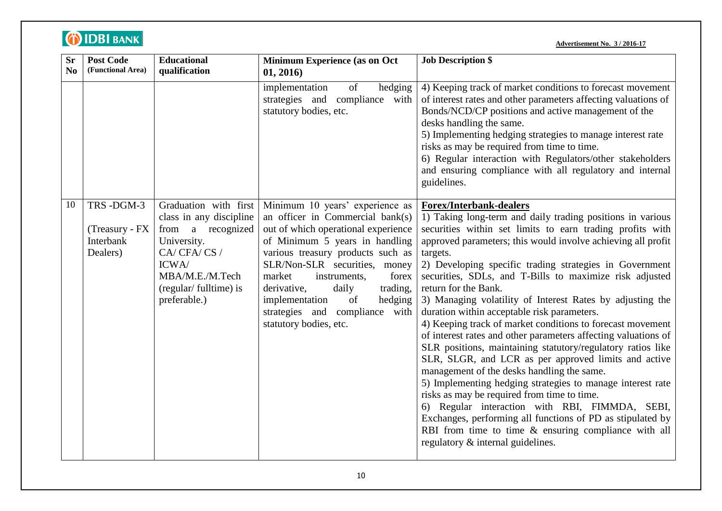| <b>Sr</b><br>No | <b>Post Code</b><br>(Functional Area)                | <b>Educational</b><br>qualification                                                                                                                                     | Minimum Experience (as on Oct<br>01, 2016)                                                                                                                                                                                                                                                                                                                                               | <b>Job Description \$</b>                                                                                                                                                                                                                                                                                                                                                                                                                                                                                                                                                                                                                                                                                                                                                                                                                                                                                                                                                                                                                                                                                                         |
|-----------------|------------------------------------------------------|-------------------------------------------------------------------------------------------------------------------------------------------------------------------------|------------------------------------------------------------------------------------------------------------------------------------------------------------------------------------------------------------------------------------------------------------------------------------------------------------------------------------------------------------------------------------------|-----------------------------------------------------------------------------------------------------------------------------------------------------------------------------------------------------------------------------------------------------------------------------------------------------------------------------------------------------------------------------------------------------------------------------------------------------------------------------------------------------------------------------------------------------------------------------------------------------------------------------------------------------------------------------------------------------------------------------------------------------------------------------------------------------------------------------------------------------------------------------------------------------------------------------------------------------------------------------------------------------------------------------------------------------------------------------------------------------------------------------------|
|                 |                                                      |                                                                                                                                                                         | of<br>implementation<br>hedging<br>strategies and compliance with<br>statutory bodies, etc.                                                                                                                                                                                                                                                                                              | 4) Keeping track of market conditions to forecast movement<br>of interest rates and other parameters affecting valuations of<br>Bonds/NCD/CP positions and active management of the<br>desks handling the same.<br>5) Implementing hedging strategies to manage interest rate<br>risks as may be required from time to time.<br>6) Regular interaction with Regulators/other stakeholders<br>and ensuring compliance with all regulatory and internal<br>guidelines.                                                                                                                                                                                                                                                                                                                                                                                                                                                                                                                                                                                                                                                              |
| 10              | TRS-DGM-3<br>(Treasury - FX<br>Interbank<br>Dealers) | Graduation with first<br>class in any discipline<br>from a recognized<br>University.<br>CA/CFA/CS/<br>ICWA/<br>MBA/M.E./M.Tech<br>(regular/fulltime) is<br>preferable.) | Minimum 10 years' experience as<br>an officer in Commercial bank(s)<br>out of which operational experience<br>of Minimum 5 years in handling<br>various treasury products such as<br>SLR/Non-SLR securities, money<br>market<br>instruments,<br>forex<br>daily<br>trading,<br>derivative,<br>hedging<br>implementation<br>of<br>strategies and compliance with<br>statutory bodies, etc. | <b>Forex/Interbank-dealers</b><br>1) Taking long-term and daily trading positions in various<br>securities within set limits to earn trading profits with<br>approved parameters; this would involve achieving all profit<br>targets.<br>2) Developing specific trading strategies in Government<br>securities, SDLs, and T-Bills to maximize risk adjusted<br>return for the Bank.<br>3) Managing volatility of Interest Rates by adjusting the<br>duration within acceptable risk parameters.<br>4) Keeping track of market conditions to forecast movement<br>of interest rates and other parameters affecting valuations of<br>SLR positions, maintaining statutory/regulatory ratios like<br>SLR, SLGR, and LCR as per approved limits and active<br>management of the desks handling the same.<br>5) Implementing hedging strategies to manage interest rate<br>risks as may be required from time to time.<br>6) Regular interaction with RBI, FIMMDA, SEBI,<br>Exchanges, performing all functions of PD as stipulated by<br>RBI from time to time $\&$ ensuring compliance with all<br>regulatory & internal guidelines. |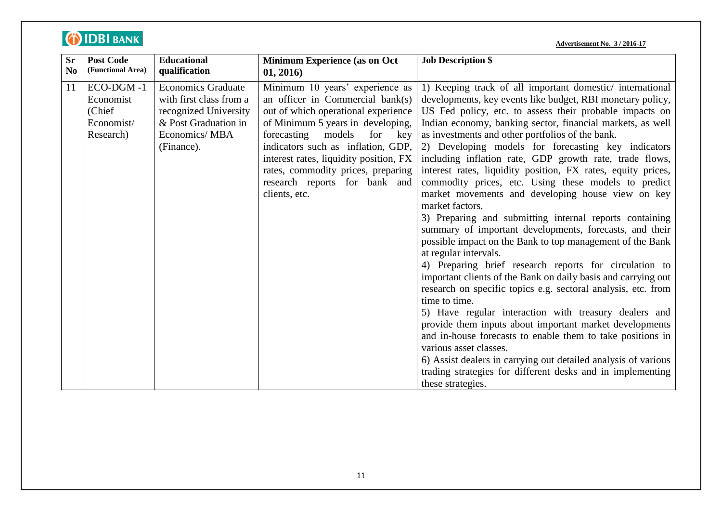|--|

| <b>Sr</b>      | <b>Post Code</b>                                            | <b>Educational</b>                                                                                                                   | <b>Minimum Experience (as on Oct</b>                                                                                                                                                                                                                                                                                                                           | <b>Job Description \$</b>                                                                                                                                                                                                                                                                                                                                                                                                                                                                                                                                                                                                                                                                                                                                                                                                                                                                                                                                                                                                                                                                                                                                                                                                                                                                                                                                                                                       |
|----------------|-------------------------------------------------------------|--------------------------------------------------------------------------------------------------------------------------------------|----------------------------------------------------------------------------------------------------------------------------------------------------------------------------------------------------------------------------------------------------------------------------------------------------------------------------------------------------------------|-----------------------------------------------------------------------------------------------------------------------------------------------------------------------------------------------------------------------------------------------------------------------------------------------------------------------------------------------------------------------------------------------------------------------------------------------------------------------------------------------------------------------------------------------------------------------------------------------------------------------------------------------------------------------------------------------------------------------------------------------------------------------------------------------------------------------------------------------------------------------------------------------------------------------------------------------------------------------------------------------------------------------------------------------------------------------------------------------------------------------------------------------------------------------------------------------------------------------------------------------------------------------------------------------------------------------------------------------------------------------------------------------------------------|
| N <sub>0</sub> | (Functional Area)                                           | qualification                                                                                                                        | 01, 2016)                                                                                                                                                                                                                                                                                                                                                      |                                                                                                                                                                                                                                                                                                                                                                                                                                                                                                                                                                                                                                                                                                                                                                                                                                                                                                                                                                                                                                                                                                                                                                                                                                                                                                                                                                                                                 |
| 11             | ECO-DGM-1<br>Economist<br>(Chief<br>Economist/<br>Research) | <b>Economics Graduate</b><br>with first class from a<br>recognized University<br>& Post Graduation in<br>Economics/MBA<br>(Finance). | Minimum 10 years' experience as<br>an officer in Commercial bank(s)<br>out of which operational experience<br>of Minimum 5 years in developing,<br>forecasting<br>models<br>for<br>key<br>indicators such as inflation, GDP,<br>interest rates, liquidity position, FX<br>rates, commodity prices, preparing<br>research reports for bank and<br>clients, etc. | 1) Keeping track of all important domestic/international<br>developments, key events like budget, RBI monetary policy,<br>US Fed policy, etc. to assess their probable impacts on<br>Indian economy, banking sector, financial markets, as well<br>as investments and other portfolios of the bank.<br>2) Developing models for forecasting key indicators<br>including inflation rate, GDP growth rate, trade flows,<br>interest rates, liquidity position, FX rates, equity prices,<br>commodity prices, etc. Using these models to predict<br>market movements and developing house view on key<br>market factors.<br>3) Preparing and submitting internal reports containing<br>summary of important developments, forecasts, and their<br>possible impact on the Bank to top management of the Bank<br>at regular intervals.<br>4) Preparing brief research reports for circulation to<br>important clients of the Bank on daily basis and carrying out<br>research on specific topics e.g. sectoral analysis, etc. from<br>time to time.<br>5) Have regular interaction with treasury dealers and<br>provide them inputs about important market developments<br>and in-house forecasts to enable them to take positions in<br>various asset classes.<br>6) Assist dealers in carrying out detailed analysis of various<br>trading strategies for different desks and in implementing<br>these strategies. |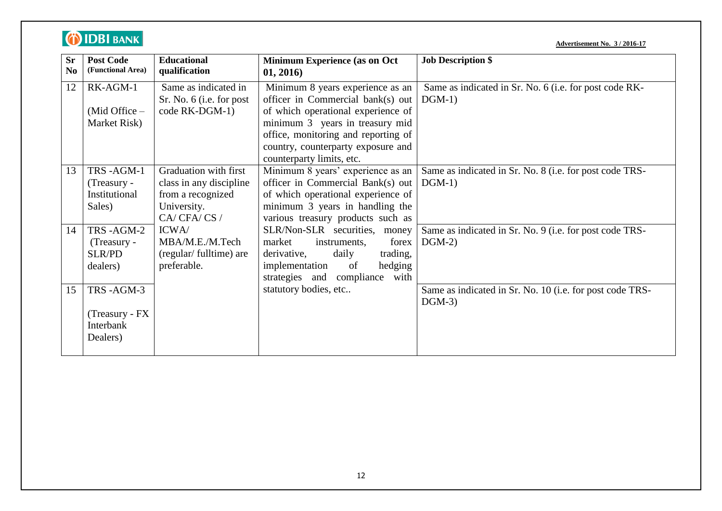| <b>Advertisement No. 3/2016-17</b> |  |
|------------------------------------|--|
|                                    |  |

| <b>Sr</b><br>$\bf No$ | <b>Post Code</b><br>(Functional Area) | <b>Educational</b><br>qualification              | <b>Minimum Experience (as on Oct</b><br>01, 2016)                      | <b>Job Description \$</b>                                            |
|-----------------------|---------------------------------------|--------------------------------------------------|------------------------------------------------------------------------|----------------------------------------------------------------------|
| 12                    | RK-AGM-1                              | Same as indicated in<br>Sr. No. 6 (i.e. for post | Minimum 8 years experience as an<br>officer in Commercial bank(s) out  | Same as indicated in Sr. No. 6 (i.e. for post code RK-<br>$DGM-1)$   |
|                       | $(Mid$ Office $-$                     | code RK-DGM-1)                                   | of which operational experience of                                     |                                                                      |
|                       | Market Risk)                          |                                                  | minimum 3 years in treasury mid                                        |                                                                      |
|                       |                                       |                                                  | office, monitoring and reporting of                                    |                                                                      |
|                       |                                       |                                                  | country, counterparty exposure and                                     |                                                                      |
|                       |                                       |                                                  | counterparty limits, etc.                                              |                                                                      |
| 13                    | TRS-AGM-1<br>(Treasury -              | Graduation with first<br>class in any discipline | Minimum 8 years' experience as an<br>officer in Commercial Bank(s) out | Same as indicated in Sr. No. 8 (i.e. for post code TRS-<br>$DGM-1)$  |
|                       | Institutional                         | from a recognized                                | of which operational experience of                                     |                                                                      |
|                       | Sales)                                | University.                                      | minimum 3 years in handling the                                        |                                                                      |
|                       |                                       | CA/CFA/CS/                                       | various treasury products such as                                      |                                                                      |
| 14                    | TRS-AGM-2                             | ICWA/                                            | SLR/Non-SLR securities, money                                          | Same as indicated in Sr. No. 9 (i.e. for post code TRS-              |
|                       | (Treasury -                           | MBA/M.E./M.Tech                                  | market<br>forex<br>instruments,                                        | $DGM-2)$                                                             |
|                       | <b>SLR/PD</b>                         | (regular/fulltime) are                           | derivative,<br>daily<br>trading,                                       |                                                                      |
|                       | dealers)                              | preferable.                                      | implementation<br>of<br>hedging                                        |                                                                      |
|                       |                                       |                                                  | strategies and compliance with                                         |                                                                      |
| 15                    | TRS-AGM-3                             |                                                  | statutory bodies, etc                                                  | Same as indicated in Sr. No. 10 (i.e. for post code TRS-<br>$DGM-3)$ |
|                       | (Treasury - FX                        |                                                  |                                                                        |                                                                      |
|                       | Interbank                             |                                                  |                                                                        |                                                                      |
|                       | Dealers)                              |                                                  |                                                                        |                                                                      |
|                       |                                       |                                                  |                                                                        |                                                                      |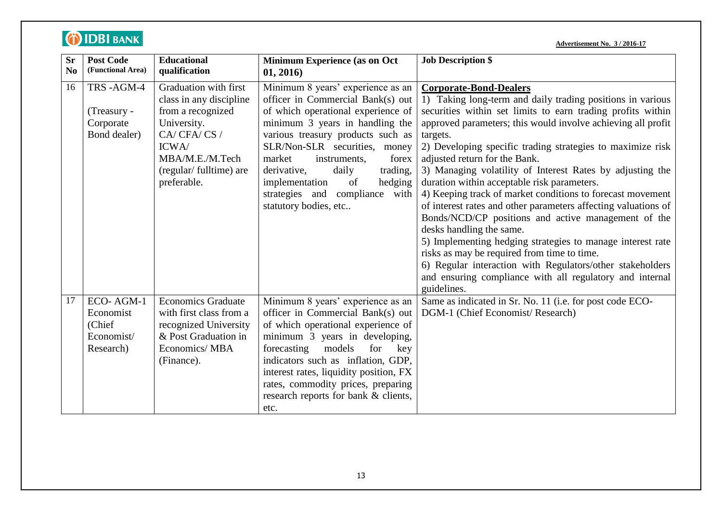|                             | <b>O IDBI BANK</b>                                          |                                                                                                                                                                         |                                                                                                                                                                                                                                                                                                                                                                                               | <b>Advertisement No. 3 / 2016-17</b>                                                                                                                                                                                                                                                                                                                                                                                                                                                                                                                                                                                                                                                                                                                                                                                                                                                                                      |
|-----------------------------|-------------------------------------------------------------|-------------------------------------------------------------------------------------------------------------------------------------------------------------------------|-----------------------------------------------------------------------------------------------------------------------------------------------------------------------------------------------------------------------------------------------------------------------------------------------------------------------------------------------------------------------------------------------|---------------------------------------------------------------------------------------------------------------------------------------------------------------------------------------------------------------------------------------------------------------------------------------------------------------------------------------------------------------------------------------------------------------------------------------------------------------------------------------------------------------------------------------------------------------------------------------------------------------------------------------------------------------------------------------------------------------------------------------------------------------------------------------------------------------------------------------------------------------------------------------------------------------------------|
| <b>Sr</b><br>N <sub>0</sub> | <b>Post Code</b><br>(Functional Area)                       | <b>Educational</b><br>qualification                                                                                                                                     | Minimum Experience (as on Oct<br>01, 2016)                                                                                                                                                                                                                                                                                                                                                    | <b>Job Description \$</b>                                                                                                                                                                                                                                                                                                                                                                                                                                                                                                                                                                                                                                                                                                                                                                                                                                                                                                 |
| 16                          | TRS-AGM-4<br>(Treasury -<br>Corporate<br>Bond dealer)       | Graduation with first<br>class in any discipline<br>from a recognized<br>University.<br>CA/CFA/CS/<br>ICWA/<br>MBA/M.E./M.Tech<br>(regular/fulltime) are<br>preferable. | Minimum 8 years' experience as an<br>officer in Commercial Bank(s) out<br>of which operational experience of<br>minimum 3 years in handling the<br>various treasury products such as<br>SLR/Non-SLR securities, money<br>market<br>instruments,<br>forex<br>trading,<br>derivative,<br>daily<br>hedging<br>implementation<br>of<br>compliance with<br>strategies and<br>statutory bodies, etc | <b>Corporate-Bond-Dealers</b><br>1) Taking long-term and daily trading positions in various<br>securities within set limits to earn trading profits within<br>approved parameters; this would involve achieving all profit<br>targets.<br>2) Developing specific trading strategies to maximize risk<br>adjusted return for the Bank.<br>3) Managing volatility of Interest Rates by adjusting the<br>duration within acceptable risk parameters.<br>4) Keeping track of market conditions to forecast movement<br>of interest rates and other parameters affecting valuations of<br>Bonds/NCD/CP positions and active management of the<br>desks handling the same.<br>5) Implementing hedging strategies to manage interest rate<br>risks as may be required from time to time.<br>6) Regular interaction with Regulators/other stakeholders<br>and ensuring compliance with all regulatory and internal<br>guidelines. |
| 17                          | ECO-AGM-1<br>Economist<br>(Chief<br>Economist/<br>Research) | <b>Economics Graduate</b><br>with first class from a<br>recognized University<br>& Post Graduation in<br>Economics/MBA<br>(Finance).                                    | Minimum 8 years' experience as an<br>officer in Commercial Bank(s) out<br>of which operational experience of<br>minimum 3 years in developing,<br>models<br>for<br>forecasting<br>key<br>indicators such as inflation, GDP,<br>interest rates, liquidity position, FX<br>rates, commodity prices, preparing<br>research reports for bank & clients,<br>etc.                                   | Same as indicated in Sr. No. 11 (i.e. for post code ECO-<br>DGM-1 (Chief Economist/ Research)                                                                                                                                                                                                                                                                                                                                                                                                                                                                                                                                                                                                                                                                                                                                                                                                                             |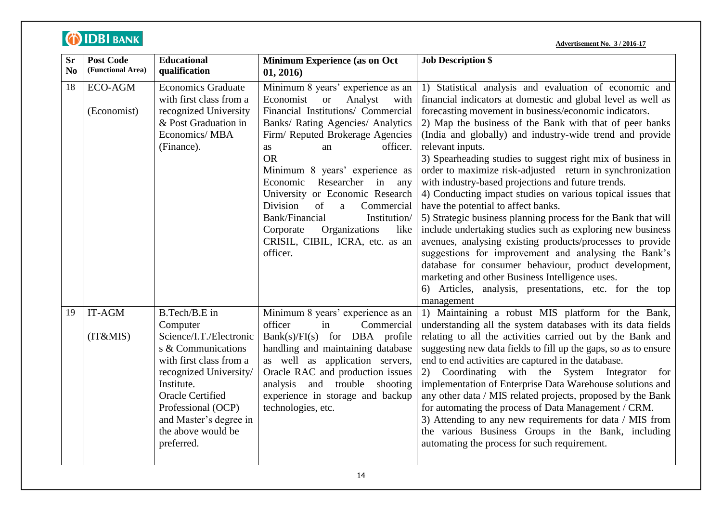|--|

| <b>Sr</b><br>N <sub>0</sub> | <b>Post Code</b><br>(Functional Area) | <b>Educational</b><br>qualification                                                                                                                                                                                                                          | Minimum Experience (as on Oct<br>01, 2016)                                                                                                                                                                                                                                                                                                                                                                                                                                                                  | <b>Job Description \$</b>                                                                                                                                                                                                                                                                                                                                                                                                                                                                                                                                                                                                                                                                                                                                                                                                                                                                                                                                                                                                                                  |
|-----------------------------|---------------------------------------|--------------------------------------------------------------------------------------------------------------------------------------------------------------------------------------------------------------------------------------------------------------|-------------------------------------------------------------------------------------------------------------------------------------------------------------------------------------------------------------------------------------------------------------------------------------------------------------------------------------------------------------------------------------------------------------------------------------------------------------------------------------------------------------|------------------------------------------------------------------------------------------------------------------------------------------------------------------------------------------------------------------------------------------------------------------------------------------------------------------------------------------------------------------------------------------------------------------------------------------------------------------------------------------------------------------------------------------------------------------------------------------------------------------------------------------------------------------------------------------------------------------------------------------------------------------------------------------------------------------------------------------------------------------------------------------------------------------------------------------------------------------------------------------------------------------------------------------------------------|
| 18                          | <b>ECO-AGM</b><br>(Economist)         | <b>Economics Graduate</b><br>with first class from a<br>recognized University<br>& Post Graduation in<br>Economics/MBA<br>(Finance).                                                                                                                         | Minimum 8 years' experience as an<br>Economist<br><b>or</b><br>Analyst<br>with<br>Financial Institutions/ Commercial<br>Banks/ Rating Agencies/ Analytics<br>Firm/ Reputed Brokerage Agencies<br>officer.<br><b>as</b><br>an<br><b>OR</b><br>Minimum 8 years' experience as<br>Researcher in any<br>Economic<br>University or Economic Research<br>of<br>Division<br>Commercial<br>a<br>Bank/Financial<br>Institution/<br>Corporate<br>Organizations<br>like<br>CRISIL, CIBIL, ICRA, etc. as an<br>officer. | 1) Statistical analysis and evaluation of economic and<br>financial indicators at domestic and global level as well as<br>forecasting movement in business/economic indicators.<br>2) Map the business of the Bank with that of peer banks<br>(India and globally) and industry-wide trend and provide<br>relevant inputs.<br>3) Spearheading studies to suggest right mix of business in<br>order to maximize risk-adjusted return in synchronization<br>with industry-based projections and future trends.<br>4) Conducting impact studies on various topical issues that<br>have the potential to affect banks.<br>5) Strategic business planning process for the Bank that will<br>include undertaking studies such as exploring new business<br>avenues, analysing existing products/processes to provide<br>suggestions for improvement and analysing the Bank's<br>database for consumer behaviour, product development,<br>marketing and other Business Intelligence uses.<br>6) Articles, analysis, presentations, etc. for the top<br>management |
| 19                          | IT-AGM<br>(IT&MIS)                    | B.Tech/B.E in<br>Computer<br>Science/I.T./Electronic<br>s & Communications<br>with first class from a<br>recognized University/<br>Institute.<br><b>Oracle Certified</b><br>Professional (OCP)<br>and Master's degree in<br>the above would be<br>preferred. | Minimum 8 years' experience as an<br>officer<br>in<br>Commercial<br>$Bank(s)/FI(s)$ for DBA profile<br>handling and maintaining database<br>as well as application servers,<br>Oracle RAC and production issues<br>analysis and trouble shooting<br>experience in storage and backup<br>technologies, etc.                                                                                                                                                                                                  | 1) Maintaining a robust MIS platform for the Bank,<br>understanding all the system databases with its data fields<br>relating to all the activities carried out by the Bank and<br>suggesting new data fields to fill up the gaps, so as to ensure<br>end to end activities are captured in the database.<br>2) Coordinating with the System Integrator for<br>implementation of Enterprise Data Warehouse solutions and<br>any other data / MIS related projects, proposed by the Bank<br>for automating the process of Data Management / CRM.<br>3) Attending to any new requirements for data / MIS from<br>the various Business Groups in the Bank, including<br>automating the process for such requirement.                                                                                                                                                                                                                                                                                                                                          |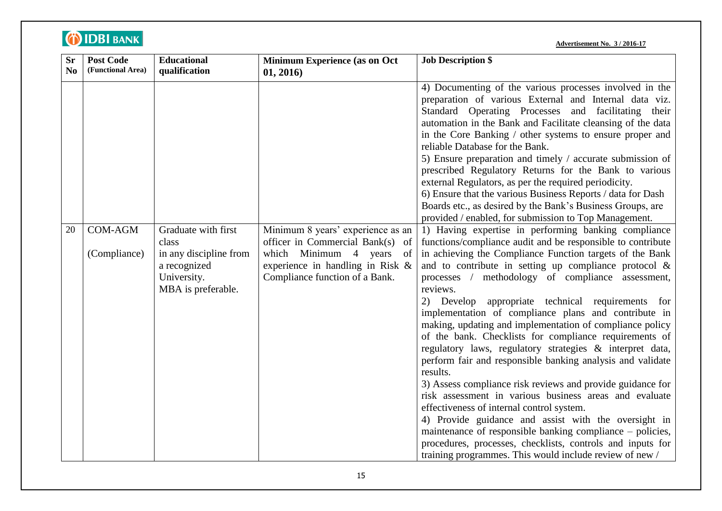| <b>Sr</b> | <b>Post Code</b>                                    | <b>Educational</b>                                                                                                           | Minimum Experience (as on Oct                                                                                                                                                              | <b>Job Description \$</b>                                                                                                                                                                                                                                                                                                                                                                                                                                                                                                                                                                                                                                                                                                                                                                                                                                                                                                                                                                                                                                                                                                                                                                               |
|-----------|-----------------------------------------------------|------------------------------------------------------------------------------------------------------------------------------|--------------------------------------------------------------------------------------------------------------------------------------------------------------------------------------------|---------------------------------------------------------------------------------------------------------------------------------------------------------------------------------------------------------------------------------------------------------------------------------------------------------------------------------------------------------------------------------------------------------------------------------------------------------------------------------------------------------------------------------------------------------------------------------------------------------------------------------------------------------------------------------------------------------------------------------------------------------------------------------------------------------------------------------------------------------------------------------------------------------------------------------------------------------------------------------------------------------------------------------------------------------------------------------------------------------------------------------------------------------------------------------------------------------|
|           |                                                     |                                                                                                                              |                                                                                                                                                                                            |                                                                                                                                                                                                                                                                                                                                                                                                                                                                                                                                                                                                                                                                                                                                                                                                                                                                                                                                                                                                                                                                                                                                                                                                         |
| No<br>20  | (Functional Area)<br><b>COM-AGM</b><br>(Compliance) | qualification<br>Graduate with first<br>class<br>in any discipline from<br>a recognized<br>University.<br>MBA is preferable. | 01, 2016)<br>Minimum 8 years' experience as an<br>officer in Commercial Bank(s)<br>of<br>which Minimum 4 years<br>of<br>experience in handling in Risk &<br>Compliance function of a Bank. | 4) Documenting of the various processes involved in the<br>preparation of various External and Internal data viz.<br>Standard Operating Processes and facilitating their<br>automation in the Bank and Facilitate cleansing of the data<br>in the Core Banking / other systems to ensure proper and<br>reliable Database for the Bank.<br>5) Ensure preparation and timely / accurate submission of<br>prescribed Regulatory Returns for the Bank to various<br>external Regulators, as per the required periodicity.<br>6) Ensure that the various Business Reports / data for Dash<br>Boards etc., as desired by the Bank's Business Groups, are<br>provided / enabled, for submission to Top Management.<br>1) Having expertise in performing banking compliance<br>functions/compliance audit and be responsible to contribute<br>in achieving the Compliance Function targets of the Bank<br>and to contribute in setting up compliance protocol $\&$<br>processes / methodology of compliance assessment,<br>reviews.<br>appropriate technical requirements for<br>2) Develop<br>implementation of compliance plans and contribute in<br>making, updating and implementation of compliance policy |
|           |                                                     |                                                                                                                              |                                                                                                                                                                                            | of the bank. Checklists for compliance requirements of<br>regulatory laws, regulatory strategies & interpret data,<br>perform fair and responsible banking analysis and validate<br>results.                                                                                                                                                                                                                                                                                                                                                                                                                                                                                                                                                                                                                                                                                                                                                                                                                                                                                                                                                                                                            |
|           |                                                     |                                                                                                                              |                                                                                                                                                                                            | 3) Assess compliance risk reviews and provide guidance for<br>risk assessment in various business areas and evaluate<br>effectiveness of internal control system.                                                                                                                                                                                                                                                                                                                                                                                                                                                                                                                                                                                                                                                                                                                                                                                                                                                                                                                                                                                                                                       |
|           |                                                     |                                                                                                                              |                                                                                                                                                                                            | 4) Provide guidance and assist with the oversight in<br>maintenance of responsible banking compliance – policies,<br>procedures, processes, checklists, controls and inputs for<br>training programmes. This would include review of new /                                                                                                                                                                                                                                                                                                                                                                                                                                                                                                                                                                                                                                                                                                                                                                                                                                                                                                                                                              |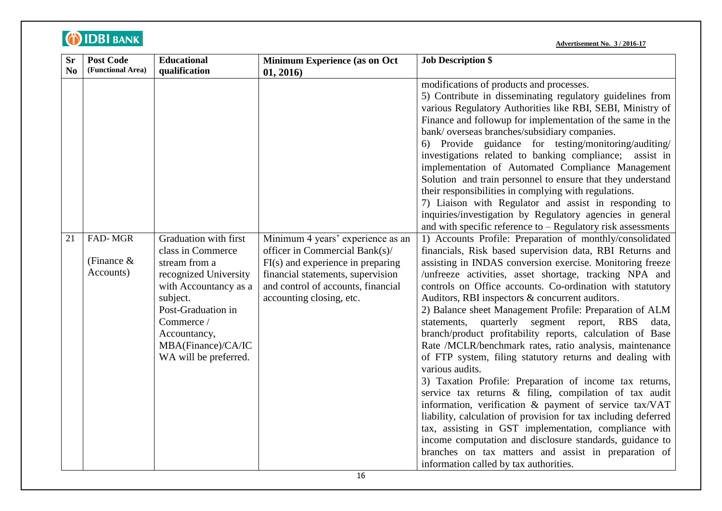| <b>Sr</b> | <b>Post Code</b>                     | <b>Educational</b>                                                                                                                                                                                                           | Minimum Experience (as on Oct                                                                                                                                                                                     | <b>Job Description \$</b>                                                                                                                                                                                                                                                                                                                                                                                                                                                                                                                                                                                                                                                                                                                                                                                                                                                                                                                                                                                                                                                                                                                                                                                                                                                                                                                                                                                                                                                                                                                                                                                                                                                                                                                                                                                                                                                                                                                          |
|-----------|--------------------------------------|------------------------------------------------------------------------------------------------------------------------------------------------------------------------------------------------------------------------------|-------------------------------------------------------------------------------------------------------------------------------------------------------------------------------------------------------------------|----------------------------------------------------------------------------------------------------------------------------------------------------------------------------------------------------------------------------------------------------------------------------------------------------------------------------------------------------------------------------------------------------------------------------------------------------------------------------------------------------------------------------------------------------------------------------------------------------------------------------------------------------------------------------------------------------------------------------------------------------------------------------------------------------------------------------------------------------------------------------------------------------------------------------------------------------------------------------------------------------------------------------------------------------------------------------------------------------------------------------------------------------------------------------------------------------------------------------------------------------------------------------------------------------------------------------------------------------------------------------------------------------------------------------------------------------------------------------------------------------------------------------------------------------------------------------------------------------------------------------------------------------------------------------------------------------------------------------------------------------------------------------------------------------------------------------------------------------------------------------------------------------------------------------------------------------|
| No        | (Functional Area)                    | qualification                                                                                                                                                                                                                | 01, 2016)                                                                                                                                                                                                         |                                                                                                                                                                                                                                                                                                                                                                                                                                                                                                                                                                                                                                                                                                                                                                                                                                                                                                                                                                                                                                                                                                                                                                                                                                                                                                                                                                                                                                                                                                                                                                                                                                                                                                                                                                                                                                                                                                                                                    |
| 21        | FAD-MGR<br>(Finance $&$<br>Accounts) | Graduation with first<br>class in Commerce<br>stream from a<br>recognized University<br>with Accountancy as a<br>subject.<br>Post-Graduation in<br>Commerce /<br>Accountancy,<br>MBA(Finance)/CA/IC<br>WA will be preferred. | Minimum 4 years' experience as an<br>officer in Commercial Bank(s)/<br>$FI(s)$ and experience in preparing<br>financial statements, supervision<br>and control of accounts, financial<br>accounting closing, etc. | modifications of products and processes.<br>5) Contribute in disseminating regulatory guidelines from<br>various Regulatory Authorities like RBI, SEBI, Ministry of<br>Finance and followup for implementation of the same in the<br>bank/overseas branches/subsidiary companies.<br>6) Provide guidance for testing/monitoring/auditing/<br>investigations related to banking compliance; assist in<br>implementation of Automated Compliance Management<br>Solution and train personnel to ensure that they understand<br>their responsibilities in complying with regulations.<br>7) Liaison with Regulator and assist in responding to<br>inquiries/investigation by Regulatory agencies in general<br>and with specific reference to $-$ Regulatory risk assessments<br>1) Accounts Profile: Preparation of monthly/consolidated<br>financials, Risk based supervision data, RBI Returns and<br>assisting in INDAS conversion exercise. Monitoring freeze<br>/unfreeze activities, asset shortage, tracking NPA and<br>controls on Office accounts. Co-ordination with statutory<br>Auditors, RBI inspectors & concurrent auditors.<br>2) Balance sheet Management Profile: Preparation of ALM<br>statements, quarterly segment report,<br><b>RBS</b><br>data,<br>branch/product profitability reports, calculation of Base<br>Rate /MCLR/benchmark rates, ratio analysis, maintenance<br>of FTP system, filing statutory returns and dealing with<br>various audits.<br>3) Taxation Profile: Preparation of income tax returns,<br>service tax returns & filing, compilation of tax audit<br>information, verification & payment of service tax/VAT<br>liability, calculation of provision for tax including deferred<br>tax, assisting in GST implementation, compliance with<br>income computation and disclosure standards, guidance to<br>branches on tax matters and assist in preparation of<br>information called by tax authorities. |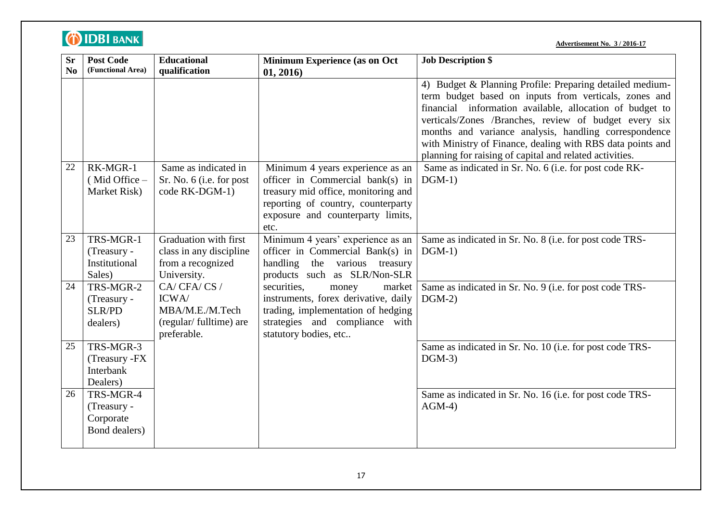| <b>Sr</b>      | <b>Post Code</b>  | <b>Educational</b>                         | Minimum Experience (as on Oct                                             | <b>Job Description \$</b>                                  |
|----------------|-------------------|--------------------------------------------|---------------------------------------------------------------------------|------------------------------------------------------------|
| N <sub>0</sub> | (Functional Area) | qualification                              | 01, 2016)                                                                 |                                                            |
|                |                   |                                            |                                                                           | 4) Budget & Planning Profile: Preparing detailed medium-   |
|                |                   |                                            |                                                                           | term budget based on inputs from verticals, zones and      |
|                |                   |                                            |                                                                           | financial information available, allocation of budget to   |
|                |                   |                                            |                                                                           | verticals/Zones /Branches, review of budget every six      |
|                |                   |                                            |                                                                           | months and variance analysis, handling correspondence      |
|                |                   |                                            |                                                                           | with Ministry of Finance, dealing with RBS data points and |
|                |                   |                                            |                                                                           | planning for raising of capital and related activities.    |
| 22             | RK-MGR-1          | Same as indicated in                       | Minimum 4 years experience as an                                          | Same as indicated in Sr. No. 6 (i.e. for post code RK-     |
|                | (Mid Office -     | Sr. No. 6 (i.e. for post<br>code RK-DGM-1) | officer in Commercial bank(s) in                                          | $DGM-1)$                                                   |
|                | Market Risk)      |                                            | treasury mid office, monitoring and<br>reporting of country, counterparty |                                                            |
|                |                   |                                            | exposure and counterparty limits,                                         |                                                            |
|                |                   |                                            | etc.                                                                      |                                                            |
| 23             | TRS-MGR-1         | Graduation with first                      | Minimum 4 years' experience as an                                         | Same as indicated in Sr. No. 8 (i.e. for post code TRS-    |
|                | (Treasury -       | class in any discipline                    | officer in Commercial Bank(s) in                                          | $DGM-1)$                                                   |
|                | Institutional     | from a recognized                          | handling the various treasury                                             |                                                            |
|                | Sales)            | University.                                | products such as SLR/Non-SLR                                              |                                                            |
| 24             | TRS-MGR-2         | CA/CFA/CS/                                 | securities,<br>market<br>money                                            | Same as indicated in Sr. No. 9 (i.e. for post code TRS-    |
|                | (Treasury -       | ICWA/                                      | instruments, forex derivative, daily                                      | $DGM-2)$                                                   |
|                | <b>SLR/PD</b>     | MBA/M.E./M.Tech                            | trading, implementation of hedging                                        |                                                            |
|                | dealers)          | (regular/fulltime) are                     | strategies and compliance with                                            |                                                            |
|                |                   | preferable.                                | statutory bodies, etc                                                     |                                                            |
| 25             | TRS-MGR-3         |                                            |                                                                           | Same as indicated in Sr. No. 10 (i.e. for post code TRS-   |
|                | (Treasury -FX     |                                            |                                                                           | $DGM-3)$                                                   |
|                | Interbank         |                                            |                                                                           |                                                            |
|                | Dealers)          |                                            |                                                                           |                                                            |
| 26             | TRS-MGR-4         |                                            |                                                                           | Same as indicated in Sr. No. 16 (i.e. for post code TRS-   |
|                | (Treasury -       |                                            |                                                                           | $AGM-4)$                                                   |
|                | Corporate         |                                            |                                                                           |                                                            |
|                | Bond dealers)     |                                            |                                                                           |                                                            |
|                |                   |                                            |                                                                           |                                                            |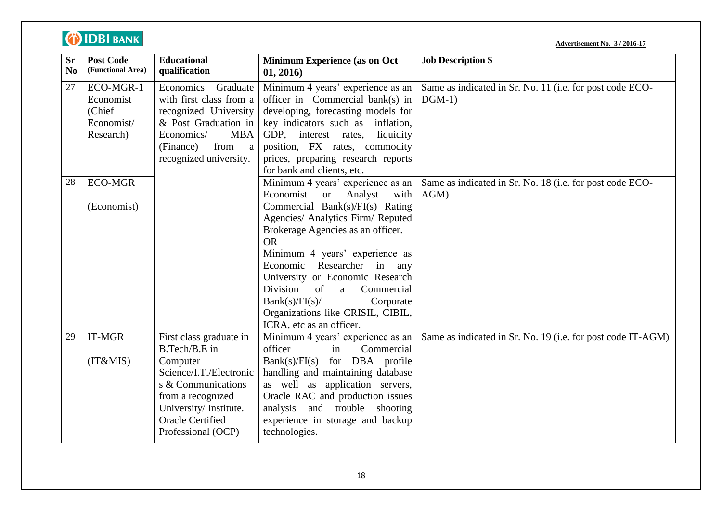|                             | <b>DIDBI BANK</b><br><b>Advertisement No. 3 / 2016-17</b>   |                                                                                                                                                                                                      |                                                                                                                                                                                                                                                                                                                                                                                                                                                        |                                                                      |  |
|-----------------------------|-------------------------------------------------------------|------------------------------------------------------------------------------------------------------------------------------------------------------------------------------------------------------|--------------------------------------------------------------------------------------------------------------------------------------------------------------------------------------------------------------------------------------------------------------------------------------------------------------------------------------------------------------------------------------------------------------------------------------------------------|----------------------------------------------------------------------|--|
| <b>Sr</b><br>N <sub>0</sub> | <b>Post Code</b><br>(Functional Area)                       | <b>Educational</b><br>qualification                                                                                                                                                                  | Minimum Experience (as on Oct<br>01, 2016)                                                                                                                                                                                                                                                                                                                                                                                                             | <b>Job Description \$</b>                                            |  |
| 27                          | ECO-MGR-1<br>Economist<br>(Chief<br>Economist/<br>Research) | Economics<br>Graduate<br>with first class from a<br>recognized University<br>& Post Graduation in<br>Economics/<br><b>MBA</b><br>from<br>(Finance)<br>a<br>recognized university.                    | Minimum 4 years' experience as an<br>officer in Commercial bank(s) in<br>developing, forecasting models for<br>key indicators such as<br>inflation,<br>GDP, interest rates,<br>liquidity<br>position, FX rates, commodity<br>prices, preparing research reports<br>for bank and clients, etc.                                                                                                                                                          | Same as indicated in Sr. No. 11 (i.e. for post code ECO-<br>$DGM-1)$ |  |
| 28                          | <b>ECO-MGR</b><br>(Economist)                               |                                                                                                                                                                                                      | Minimum 4 years' experience as an<br>Economist<br>Analyst<br><b>or</b><br>with<br>Commercial Bank(s)/ $FI(s)$ Rating<br>Agencies/ Analytics Firm/ Reputed<br>Brokerage Agencies as an officer.<br><b>OR</b><br>Minimum 4 years' experience as<br>Researcher in any<br>Economic<br>University or Economic Research<br>Division<br>of<br>Commercial<br>a<br>Bank(s)/FI(s)/<br>Corporate<br>Organizations like CRISIL, CIBIL,<br>ICRA, etc as an officer. | Same as indicated in Sr. No. 18 (i.e. for post code ECO-<br>$AGM$ )  |  |
| 29                          | $IT-MGR$<br>(IT&MIS)                                        | First class graduate in<br>B.Tech/B.E in<br>Computer<br>Science/I.T./Electronic<br>s & Communications<br>from a recognized<br>University/Institute.<br><b>Oracle Certified</b><br>Professional (OCP) | Minimum 4 years' experience as an<br>officer<br>in<br>Commercial<br>$Bank(s)/FI(s)$ for DBA profile<br>handling and maintaining database<br>as well as application servers,<br>Oracle RAC and production issues<br>analysis and trouble<br>shooting<br>experience in storage and backup<br>technologies.                                                                                                                                               | Same as indicated in Sr. No. 19 (i.e. for post code IT-AGM)          |  |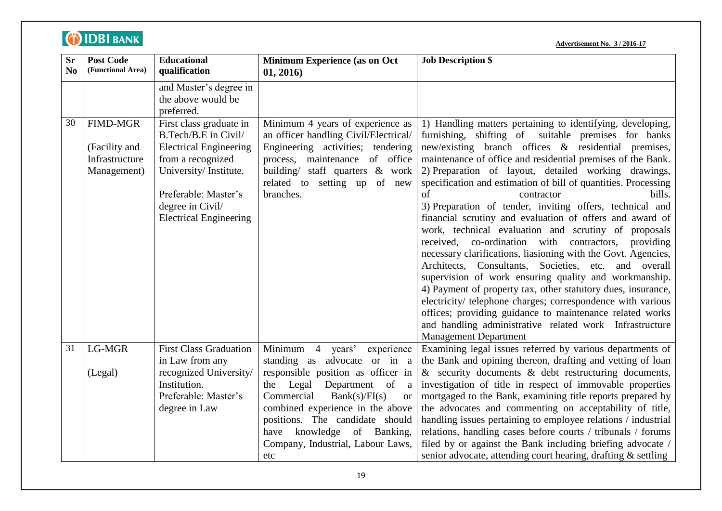| <b>Sr</b><br>No | <b>Post Code</b><br>(Functional Area)                             | <b>Educational</b><br>qualification                                                                                                                                                                         | <b>Minimum Experience (as on Oct</b><br>01, 2016)                                                                                                                                                                                | <b>Job Description \$</b>                                                                                                                                                                                                                                                                                                                                                                                                                                                                                                                                                                                                                                                                                                                                                                                                                                                                                                                                                                                                                                                      |
|-----------------|-------------------------------------------------------------------|-------------------------------------------------------------------------------------------------------------------------------------------------------------------------------------------------------------|----------------------------------------------------------------------------------------------------------------------------------------------------------------------------------------------------------------------------------|--------------------------------------------------------------------------------------------------------------------------------------------------------------------------------------------------------------------------------------------------------------------------------------------------------------------------------------------------------------------------------------------------------------------------------------------------------------------------------------------------------------------------------------------------------------------------------------------------------------------------------------------------------------------------------------------------------------------------------------------------------------------------------------------------------------------------------------------------------------------------------------------------------------------------------------------------------------------------------------------------------------------------------------------------------------------------------|
|                 |                                                                   | and Master's degree in<br>the above would be<br>preferred.                                                                                                                                                  |                                                                                                                                                                                                                                  |                                                                                                                                                                                                                                                                                                                                                                                                                                                                                                                                                                                                                                                                                                                                                                                                                                                                                                                                                                                                                                                                                |
| 30              | <b>FIMD-MGR</b><br>(Facility and<br>Infrastructure<br>Management) | First class graduate in<br>B.Tech/B.E in Civil/<br><b>Electrical Engineering</b><br>from a recognized<br>University/Institute.<br>Preferable: Master's<br>degree in Civil/<br><b>Electrical Engineering</b> | Minimum 4 years of experience as<br>an officer handling Civil/Electrical/<br>Engineering activities; tendering<br>process, maintenance of office<br>building/ staff quarters & work<br>related to setting up of new<br>branches. | 1) Handling matters pertaining to identifying, developing,<br>furnishing, shifting of suitable premises for banks<br>new/existing branch offices & residential premises,<br>maintenance of office and residential premises of the Bank.<br>2) Preparation of layout, detailed working drawings,<br>specification and estimation of bill of quantities. Processing<br>of<br>bills.<br>contractor<br>3) Preparation of tender, inviting offers, technical and<br>financial scrutiny and evaluation of offers and award of<br>work, technical evaluation and scrutiny of proposals<br>received, co-ordination with contractors, providing<br>necessary clarifications, liasioning with the Govt. Agencies,<br>Architects, Consultants, Societies, etc. and overall<br>supervision of work ensuring quality and workmanship.<br>4) Payment of property tax, other statutory dues, insurance,<br>electricity/ telephone charges; correspondence with various<br>offices; providing guidance to maintenance related works<br>and handling administrative related work Infrastructure |
|                 |                                                                   |                                                                                                                                                                                                             |                                                                                                                                                                                                                                  | <b>Management Department</b>                                                                                                                                                                                                                                                                                                                                                                                                                                                                                                                                                                                                                                                                                                                                                                                                                                                                                                                                                                                                                                                   |
| 31              | <b>LG-MGR</b>                                                     | <b>First Class Graduation</b><br>in Law from any                                                                                                                                                            | Minimum 4 years'<br>experience<br>standing as advocate or in a                                                                                                                                                                   | Examining legal issues referred by various departments of<br>the Bank and opining thereon, drafting and vetting of loan                                                                                                                                                                                                                                                                                                                                                                                                                                                                                                                                                                                                                                                                                                                                                                                                                                                                                                                                                        |
|                 | (Legal)                                                           | recognized University/<br>Institution.<br>Preferable: Master's<br>degree in Law                                                                                                                             | responsible position as officer in<br>Legal<br>Department of<br>the<br>a<br>Commercial<br>Bank(s)/FI(s)<br><b>or</b><br>combined experience in the above<br>positions. The candidate should<br>knowledge of Banking,<br>have     | & security documents & debt restructuring documents,<br>investigation of title in respect of immovable properties<br>mortgaged to the Bank, examining title reports prepared by<br>the advocates and commenting on acceptability of title,<br>handling issues pertaining to employee relations / industrial<br>relations, handling cases before courts / tribunals / forums                                                                                                                                                                                                                                                                                                                                                                                                                                                                                                                                                                                                                                                                                                    |
|                 |                                                                   |                                                                                                                                                                                                             | Company, Industrial, Labour Laws,<br>etc                                                                                                                                                                                         | filed by or against the Bank including briefing advocate /<br>senior advocate, attending court hearing, drafting & settling                                                                                                                                                                                                                                                                                                                                                                                                                                                                                                                                                                                                                                                                                                                                                                                                                                                                                                                                                    |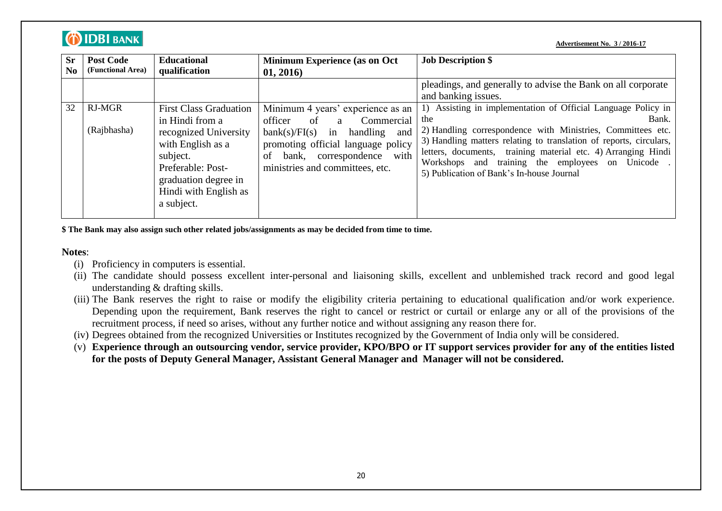| <b>Sr</b><br>N <sub>0</sub> | <b>Post Code</b><br>(Functional Area) | <b>Educational</b><br>qualification                                                                                                                                                            | <b>Minimum Experience (as on Oct</b> )<br>01, 2016)                                                                                                                                                                      | <b>Job Description \$</b>                                                                                                                                                                                                                                                                                                                                                            |
|-----------------------------|---------------------------------------|------------------------------------------------------------------------------------------------------------------------------------------------------------------------------------------------|--------------------------------------------------------------------------------------------------------------------------------------------------------------------------------------------------------------------------|--------------------------------------------------------------------------------------------------------------------------------------------------------------------------------------------------------------------------------------------------------------------------------------------------------------------------------------------------------------------------------------|
|                             |                                       |                                                                                                                                                                                                |                                                                                                                                                                                                                          | pleadings, and generally to advise the Bank on all corporate<br>and banking issues.                                                                                                                                                                                                                                                                                                  |
| 32                          | <b>RJ-MGR</b><br>(Rajbhasha)          | <b>First Class Graduation</b><br>in Hindi from a<br>recognized University<br>with English as a<br>subject.<br>Preferable: Post-<br>graduation degree in<br>Hindi with English as<br>a subject. | Minimum 4 years' experience as an<br>Commercial<br>officer<br>of a<br>in<br>bank(s)/FI(s)<br>handling<br>and<br>promoting official language policy<br>bank, correspondence with<br>οf<br>ministries and committees, etc. | 1) Assisting in implementation of Official Language Policy in<br>Bank.<br>the<br>2) Handling correspondence with Ministries, Committees etc.<br>3) Handling matters relating to translation of reports, circulars,<br>letters, documents, training material etc. 4) Arranging Hindi<br>Workshops and training the employees on Unicode.<br>5) Publication of Bank's In-house Journal |

**\$ The Bank may also assign such other related jobs/assignments as may be decided from time to time.**

**Notes**:

**O IDBI BANK** 

- (i) Proficiency in computers is essential.
- (ii) The candidate should possess excellent inter-personal and liaisoning skills, excellent and unblemished track record and good legal understanding & drafting skills.
- (iii) The Bank reserves the right to raise or modify the eligibility criteria pertaining to educational qualification and/or work experience. Depending upon the requirement, Bank reserves the right to cancel or restrict or curtail or enlarge any or all of the provisions of the recruitment process, if need so arises, without any further notice and without assigning any reason there for.
- (iv) Degrees obtained from the recognized Universities or Institutes recognized by the Government of India only will be considered.
- (v) **Experience through an outsourcing vendor, service provider, KPO/BPO or IT support services provider for any of the entities listed for the posts of Deputy General Manager, Assistant General Manager and Manager will not be considered.**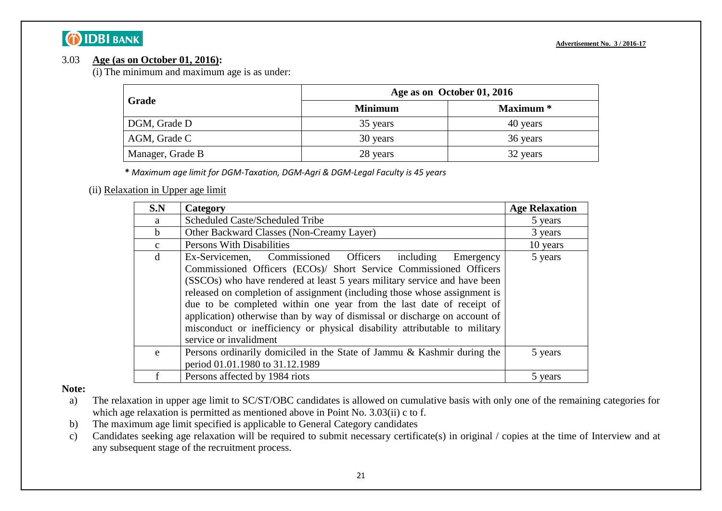### 3.03 **Age (as on October 01, 2016):**

(i) The minimum and maximum age is as under:

|                  | Age as on October 01, 2016 |                  |  |
|------------------|----------------------------|------------------|--|
| Grade            | <b>Minimum</b>             | <b>Maximum</b> * |  |
| DGM, Grade D     | 35 years                   | 40 years         |  |
| AGM, Grade C     | 30 years                   | 36 years         |  |
| Manager, Grade B | 28 years                   | 32 years         |  |

**\*** *Maximum age limit for DGM-Taxation, DGM-Agri & DGM-Legal Faculty is 45 years*

### (ii) Relaxation in Upper age limit

| S.N          | Category                                                                                                                                                                                                                                                                                                                                                                                                                                                                                                                                                                  | <b>Age Relaxation</b> |
|--------------|---------------------------------------------------------------------------------------------------------------------------------------------------------------------------------------------------------------------------------------------------------------------------------------------------------------------------------------------------------------------------------------------------------------------------------------------------------------------------------------------------------------------------------------------------------------------------|-----------------------|
| a            | Scheduled Caste/Scheduled Tribe                                                                                                                                                                                                                                                                                                                                                                                                                                                                                                                                           | 5 years               |
| b.           | Other Backward Classes (Non-Creamy Layer)                                                                                                                                                                                                                                                                                                                                                                                                                                                                                                                                 | 3 years               |
| $\mathbf{c}$ | <b>Persons With Disabilities</b>                                                                                                                                                                                                                                                                                                                                                                                                                                                                                                                                          | 10 years              |
| d            | Commissioned Officers<br>5 years<br>including<br>Ex-Servicemen,<br>Emergency<br>Commissioned Officers (ECOs)/ Short Service Commissioned Officers<br>(SSCOs) who have rendered at least 5 years military service and have been<br>released on completion of assignment (including those whose assignment is<br>due to be completed within one year from the last date of receipt of<br>application) otherwise than by way of dismissal or discharge on account of<br>misconduct or inefficiency or physical disability attributable to military<br>service or invalidment |                       |
| e            | Persons ordinarily domiciled in the State of Jammu & Kashmir during the<br>period 01.01.1980 to 31.12.1989                                                                                                                                                                                                                                                                                                                                                                                                                                                                | 5 years               |
|              | Persons affected by 1984 riots                                                                                                                                                                                                                                                                                                                                                                                                                                                                                                                                            | 5 years               |

#### **Note:**

- a) The relaxation in upper age limit to SC/ST/OBC candidates is allowed on cumulative basis with only one of the remaining categories for which age relaxation is permitted as mentioned above in Point No. 3.03(ii) c to f.
- b) The maximum age limit specified is applicable to General Category candidates
- c) Candidates seeking age relaxation will be required to submit necessary certificate(s) in original / copies at the time of Interview and at any subsequent stage of the recruitment process.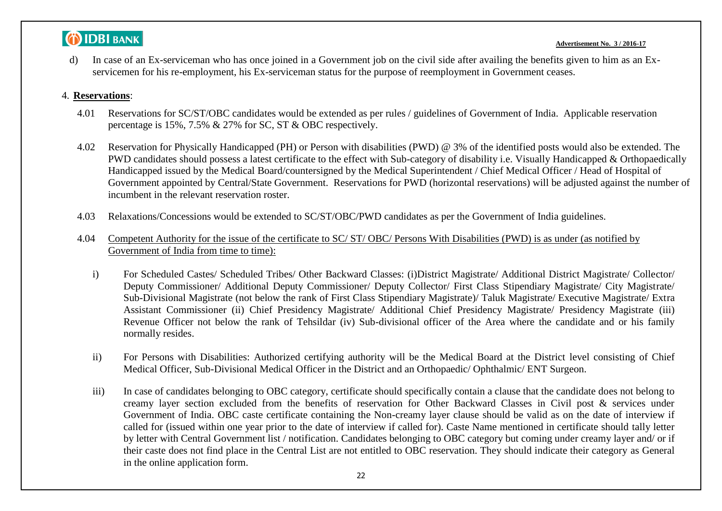#### **Advertisement No. 3 / 2016-17**

d) In case of an Ex-serviceman who has once joined in a Government job on the civil side after availing the benefits given to him as an Exservicemen for his re-employment, his Ex-serviceman status for the purpose of reemployment in Government ceases.

#### 4. **Reservations**:

- 4.01 Reservations for SC/ST/OBC candidates would be extended as per rules / guidelines of Government of India. Applicable reservation percentage is 15%, 7.5% & 27% for SC, ST & OBC respectively.
- 4.02 Reservation for Physically Handicapped (PH) or Person with disabilities (PWD) @ 3% of the identified posts would also be extended. The PWD candidates should possess a latest certificate to the effect with Sub-category of disability i.e. Visually Handicapped & Orthopaedically Handicapped issued by the Medical Board/countersigned by the Medical Superintendent / Chief Medical Officer / Head of Hospital of Government appointed by Central/State Government. Reservations for PWD (horizontal reservations) will be adjusted against the number of incumbent in the relevant reservation roster.
- 4.03 Relaxations/Concessions would be extended to SC/ST/OBC/PWD candidates as per the Government of India guidelines.
- 4.04 Competent Authority for the issue of the certificate to SC/ ST/ OBC/ Persons With Disabilities (PWD) is as under (as notified by Government of India from time to time):
	- i) For Scheduled Castes/ Scheduled Tribes/ Other Backward Classes: (i)District Magistrate/ Additional District Magistrate/ Collector/ Deputy Commissioner/ Additional Deputy Commissioner/ Deputy Collector/ First Class Stipendiary Magistrate/ City Magistrate/ Sub-Divisional Magistrate (not below the rank of First Class Stipendiary Magistrate)/ Taluk Magistrate/ Executive Magistrate/ Extra Assistant Commissioner (ii) Chief Presidency Magistrate/ Additional Chief Presidency Magistrate/ Presidency Magistrate (iii) Revenue Officer not below the rank of Tehsildar (iv) Sub-divisional officer of the Area where the candidate and or his family normally resides.
	- ii) For Persons with Disabilities: Authorized certifying authority will be the Medical Board at the District level consisting of Chief Medical Officer, Sub-Divisional Medical Officer in the District and an Orthopaedic/ Ophthalmic/ ENT Surgeon.
	- iii) In case of candidates belonging to OBC category, certificate should specifically contain a clause that the candidate does not belong to creamy layer section excluded from the benefits of reservation for Other Backward Classes in Civil post & services under Government of India. OBC caste certificate containing the Non-creamy layer clause should be valid as on the date of interview if called for (issued within one year prior to the date of interview if called for). Caste Name mentioned in certificate should tally letter by letter with Central Government list / notification. Candidates belonging to OBC category but coming under creamy layer and/ or if their caste does not find place in the Central List are not entitled to OBC reservation. They should indicate their category as General in the online application form.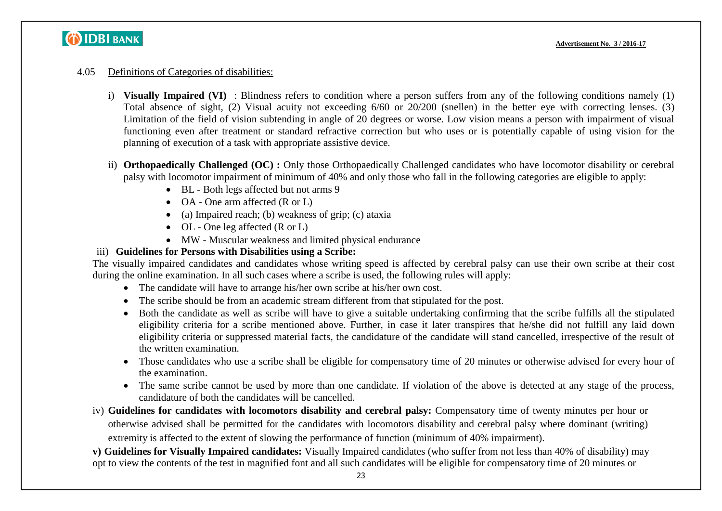#### 4.05 Definitions of Categories of disabilities:

- i) **Visually Impaired (VI)** : Blindness refers to condition where a person suffers from any of the following conditions namely (1) Total absence of sight, (2) Visual acuity not exceeding 6/60 or 20/200 (snellen) in the better eye with correcting lenses. (3) Limitation of the field of vision subtending in angle of 20 degrees or worse. Low vision means a person with impairment of visual functioning even after treatment or standard refractive correction but who uses or is potentially capable of using vision for the planning of execution of a task with appropriate assistive device.
- ii) **Orthopaedically Challenged (OC) :** Only those Orthopaedically Challenged candidates who have locomotor disability or cerebral palsy with locomotor impairment of minimum of 40% and only those who fall in the following categories are eligible to apply:
	- BL Both legs affected but not arms 9
	- OA One arm affected (R or L)
	- (a) Impaired reach; (b) weakness of grip; (c) ataxia
	- $\bullet$  OL One leg affected (R or L)
	- MW Muscular weakness and limited physical endurance

### iii) **Guidelines for Persons with Disabilities using a Scribe:**

The visually impaired candidates and candidates whose writing speed is affected by cerebral palsy can use their own scribe at their cost during the online examination. In all such cases where a scribe is used, the following rules will apply:

- The candidate will have to arrange his/her own scribe at his/her own cost.
- The scribe should be from an academic stream different from that stipulated for the post.
- Both the candidate as well as scribe will have to give a suitable undertaking confirming that the scribe fulfills all the stipulated eligibility criteria for a scribe mentioned above. Further, in case it later transpires that he/she did not fulfill any laid down eligibility criteria or suppressed material facts, the candidature of the candidate will stand cancelled, irrespective of the result of the written examination.
- Those candidates who use a scribe shall be eligible for compensatory time of 20 minutes or otherwise advised for every hour of the examination.
- The same scribe cannot be used by more than one candidate. If violation of the above is detected at any stage of the process, candidature of both the candidates will be cancelled.
- iv) **Guidelines for candidates with locomotors disability and cerebral palsy:** Compensatory time of twenty minutes per hour or otherwise advised shall be permitted for the candidates with locomotors disability and cerebral palsy where dominant (writing) extremity is affected to the extent of slowing the performance of function (minimum of 40% impairment).

**v) Guidelines for Visually Impaired candidates:** Visually Impaired candidates (who suffer from not less than 40% of disability) may opt to view the contents of the test in magnified font and all such candidates will be eligible for compensatory time of 20 minutes or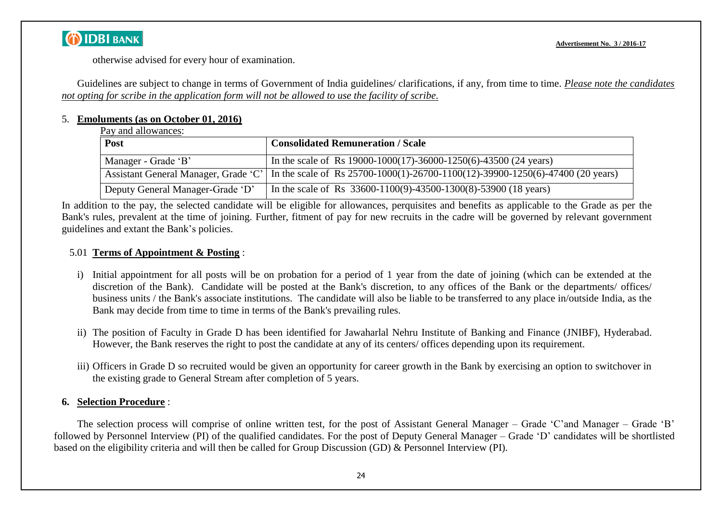

otherwise advised for every hour of examination.

Guidelines are subject to change in terms of Government of India guidelines/ clarifications, if any, from time to time. *Please note the candidates not opting for scribe in the application form will not be allowed to use the facility of scribe.*

#### 5. **Emoluments (as on October 01, 2016)**

| Pay and allowances: |
|---------------------|
|---------------------|

| Post                                 | <b>Consolidated Remuneration / Scale</b>                                                |
|--------------------------------------|-----------------------------------------------------------------------------------------|
| Manager - Grade 'B'                  | In the scale of Rs $19000-1000(17)$ -36000-1250(6)-43500 (24 years)                     |
| Assistant General Manager, Grade 'C' | In the scale of Rs $25700-1000(1)-26700-1100(12)-39900-1250(6)-47400(20 \text{ years})$ |
| Deputy General Manager-Grade 'D'     | In the scale of Rs $33600-1100(9) - 43500-1300(8) - 53900(18 \text{ years})$            |

In addition to the pay, the selected candidate will be eligible for allowances, perquisites and benefits as applicable to the Grade as per the Bank's rules, prevalent at the time of joining. Further, fitment of pay for new recruits in the cadre will be governed by relevant government guidelines and extant the Bank"s policies.

### 5.01 **Terms of Appointment & Posting** :

- i) Initial appointment for all posts will be on probation for a period of 1 year from the date of joining (which can be extended at the discretion of the Bank). Candidate will be posted at the Bank's discretion, to any offices of the Bank or the departments/ offices/ business units / the Bank's associate institutions. The candidate will also be liable to be transferred to any place in/outside India, as the Bank may decide from time to time in terms of the Bank's prevailing rules.
- ii) The position of Faculty in Grade D has been identified for Jawaharlal Nehru Institute of Banking and Finance (JNIBF), Hyderabad. However, the Bank reserves the right to post the candidate at any of its centers/ offices depending upon its requirement.
- iii) Officers in Grade D so recruited would be given an opportunity for career growth in the Bank by exercising an option to switchover in the existing grade to General Stream after completion of 5 years.

### **6. Selection Procedure** :

The selection process will comprise of online written test, for the post of Assistant General Manager – Grade "C"and Manager – Grade "B" followed by Personnel Interview (PI) of the qualified candidates. For the post of Deputy General Manager – Grade "D" candidates will be shortlisted based on the eligibility criteria and will then be called for Group Discussion (GD) & Personnel Interview (PI).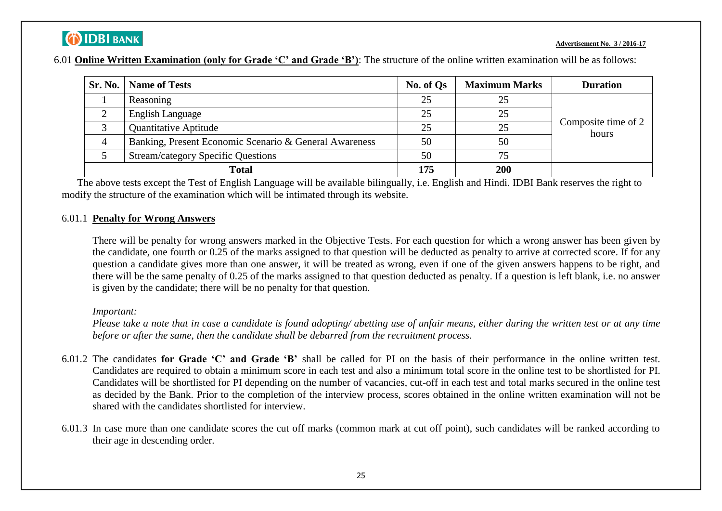#### **Advertisement No. 3 / 2016-17**

|--|

| <b>Sr. No.</b> | <b>Name of Tests</b>                                   | No. of Qs | <b>Maximum Marks</b> | <b>Duration</b>              |
|----------------|--------------------------------------------------------|-----------|----------------------|------------------------------|
|                | Reasoning                                              | 25        | 25                   |                              |
|                | English Language                                       | 25        | 25                   |                              |
|                | <b>Quantitative Aptitude</b>                           | 25        | 25                   | Composite time of 2<br>hours |
| 4              | Banking, Present Economic Scenario & General Awareness | 50        | 50                   |                              |
|                | <b>Stream/category Specific Questions</b>              | 50        | 75                   |                              |
| Total          |                                                        | 175       | 200                  |                              |

The above tests except the Test of English Language will be available bilingually, i.e. English and Hindi. IDBI Bank reserves the right to modify the structure of the examination which will be intimated through its website.

#### 6.01.1 **Penalty for Wrong Answers**

There will be penalty for wrong answers marked in the Objective Tests. For each question for which a wrong answer has been given by the candidate, one fourth or 0.25 of the marks assigned to that question will be deducted as penalty to arrive at corrected score. If for any question a candidate gives more than one answer, it will be treated as wrong, even if one of the given answers happens to be right, and there will be the same penalty of 0.25 of the marks assigned to that question deducted as penalty. If a question is left blank, i.e. no answer is given by the candidate; there will be no penalty for that question.

#### *Important:*

*Please take a note that in case a candidate is found adopting/ abetting use of unfair means, either during the written test or at any time before or after the same, then the candidate shall be debarred from the recruitment process.*

- 6.01.2 The candidates **for Grade 'C' and Grade 'B'** shall be called for PI on the basis of their performance in the online written test. Candidates are required to obtain a minimum score in each test and also a minimum total score in the online test to be shortlisted for PI. Candidates will be shortlisted for PI depending on the number of vacancies, cut-off in each test and total marks secured in the online test as decided by the Bank. Prior to the completion of the interview process, scores obtained in the online written examination will not be shared with the candidates shortlisted for interview.
- 6.01.3 In case more than one candidate scores the cut off marks (common mark at cut off point), such candidates will be ranked according to their age in descending order.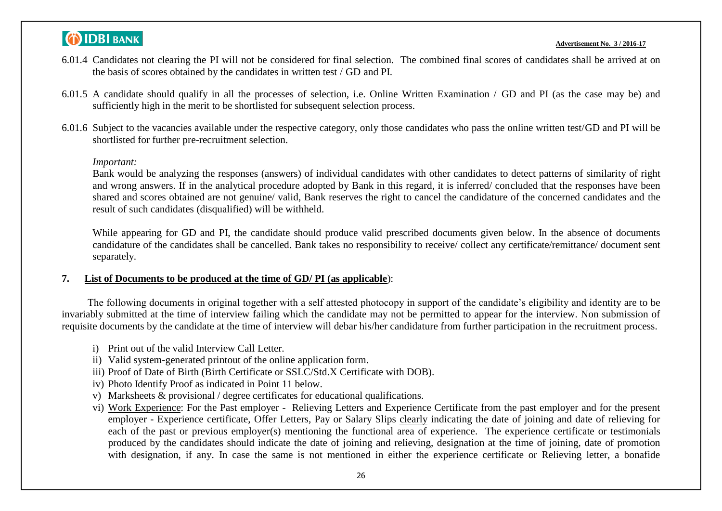#### **Advertisement No. 3 / 2016-17**

- 6.01.4 Candidates not clearing the PI will not be considered for final selection. The combined final scores of candidates shall be arrived at on the basis of scores obtained by the candidates in written test / GD and PI.
- 6.01.5 A candidate should qualify in all the processes of selection, i.e. Online Written Examination / GD and PI (as the case may be) and sufficiently high in the merit to be shortlisted for subsequent selection process.
- 6.01.6 Subject to the vacancies available under the respective category, only those candidates who pass the online written test/GD and PI will be shortlisted for further pre-recruitment selection.

#### *Important:*

Bank would be analyzing the responses (answers) of individual candidates with other candidates to detect patterns of similarity of right and wrong answers. If in the analytical procedure adopted by Bank in this regard, it is inferred/ concluded that the responses have been shared and scores obtained are not genuine/ valid, Bank reserves the right to cancel the candidature of the concerned candidates and the result of such candidates (disqualified) will be withheld.

While appearing for GD and PI, the candidate should produce valid prescribed documents given below. In the absence of documents candidature of the candidates shall be cancelled. Bank takes no responsibility to receive/ collect any certificate/remittance/ document sent separately.

#### **7. List of Documents to be produced at the time of GD/ PI (as applicable**):

The following documents in original together with a self attested photocopy in support of the candidate's eligibility and identity are to be invariably submitted at the time of interview failing which the candidate may not be permitted to appear for the interview. Non submission of requisite documents by the candidate at the time of interview will debar his/her candidature from further participation in the recruitment process.

- i) Print out of the valid Interview Call Letter.
- ii) Valid system-generated printout of the online application form.
- iii) Proof of Date of Birth (Birth Certificate or SSLC/Std.X Certificate with DOB).
- iv) Photo Identify Proof as indicated in Point 11 below.
- v) Marksheets & provisional / degree certificates for educational qualifications.
- vi) Work Experience: For the Past employer Relieving Letters and Experience Certificate from the past employer and for the present employer - Experience certificate, Offer Letters, Pay or Salary Slips clearly indicating the date of joining and date of relieving for each of the past or previous employer(s) mentioning the functional area of experience. The experience certificate or testimonials produced by the candidates should indicate the date of joining and relieving, designation at the time of joining, date of promotion with designation, if any. In case the same is not mentioned in either the experience certificate or Relieving letter, a bonafide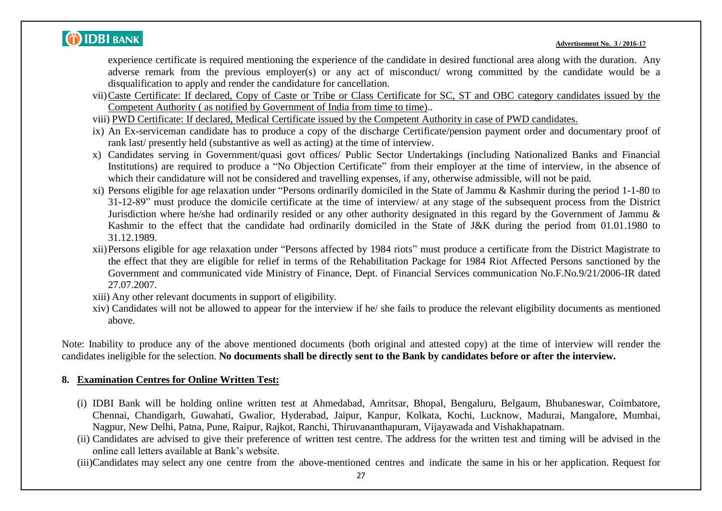

experience certificate is required mentioning the experience of the candidate in desired functional area along with the duration. Any adverse remark from the previous employer(s) or any act of misconduct/ wrong committed by the candidate would be a disqualification to apply and render the candidature for cancellation.

- vii)Caste Certificate: If declared, Copy of Caste or Tribe or Class Certificate for SC, ST and OBC category candidates issued by the Competent Authority ( as notified by Government of India from time to time)..
- viii) PWD Certificate: If declared, Medical Certificate issued by the Competent Authority in case of PWD candidates.
- ix) An Ex-serviceman candidate has to produce a copy of the discharge Certificate/pension payment order and documentary proof of rank last/ presently held (substantive as well as acting) at the time of interview.
- x) Candidates serving in Government/quasi govt offices/ Public Sector Undertakings (including Nationalized Banks and Financial Institutions) are required to produce a "No Objection Certificate" from their employer at the time of interview, in the absence of which their candidature will not be considered and travelling expenses, if any, otherwise admissible, will not be paid.
- xi) Persons eligible for age relaxation under "Persons ordinarily domiciled in the State of Jammu & Kashmir during the period 1-1-80 to 31-12-89" must produce the domicile certificate at the time of interview/ at any stage of the subsequent process from the District Jurisdiction where he/she had ordinarily resided or any other authority designated in this regard by the Government of Jammu & Kashmir to the effect that the candidate had ordinarily domiciled in the State of J&K during the period from 01.01.1980 to 31.12.1989.
- xii)Persons eligible for age relaxation under "Persons affected by 1984 riots" must produce a certificate from the District Magistrate to the effect that they are eligible for relief in terms of the Rehabilitation Package for 1984 Riot Affected Persons sanctioned by the Government and communicated vide Ministry of Finance, Dept. of Financial Services communication No.F.No.9/21/2006-IR dated 27.07.2007.
- xiii) Any other relevant documents in support of eligibility.
- xiv) Candidates will not be allowed to appear for the interview if he/ she fails to produce the relevant eligibility documents as mentioned above.

Note: Inability to produce any of the above mentioned documents (both original and attested copy) at the time of interview will render the candidates ineligible for the selection. **No documents shall be directly sent to the Bank by candidates before or after the interview.**

### **8. Examination Centres for Online Written Test:**

- (i) IDBI Bank will be holding online written test at Ahmedabad, Amritsar, Bhopal, Bengaluru, Belgaum, Bhubaneswar, Coimbatore, Chennai, Chandigarh, Guwahati, Gwalior, Hyderabad, Jaipur, Kanpur, Kolkata, Kochi, Lucknow, Madurai, Mangalore, Mumbai, Nagpur, New Delhi, Patna, Pune, Raipur, Rajkot, Ranchi, Thiruvananthapuram, Vijayawada and Vishakhapatnam.
- (ii) Candidates are advised to give their preference of written test centre. The address for the written test and timing will be advised in the online call letters available at Bank"s website.
- (iii)Candidates may select any one centre from the above-mentioned centres and indicate the same in his or her application. Request for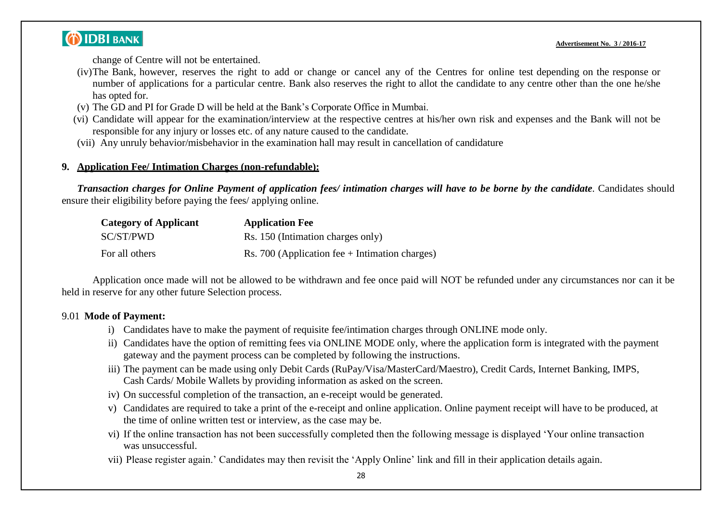change of Centre will not be entertained.

- (iv)The Bank, however, reserves the right to add or change or cancel any of the Centres for online test depending on the response or number of applications for a particular centre. Bank also reserves the right to allot the candidate to any centre other than the one he/she has opted for.
- (v) The GD and PI for Grade D will be held at the Bank"s Corporate Office in Mumbai.
- (vi) Candidate will appear for the examination/interview at the respective centres at his/her own risk and expenses and the Bank will not be responsible for any injury or losses etc. of any nature caused to the candidate.
- (vii) Any unruly behavior/misbehavior in the examination hall may result in cancellation of candidature

### **9. Application Fee/ Intimation Charges (non-refundable):**

*Transaction charges for Online Payment of application fees/ intimation charges will have to be borne by the candidate*. Candidates should ensure their eligibility before paying the fees/ applying online.

| <b>Category of Applicant</b> | <b>Application Fee</b>                           |
|------------------------------|--------------------------------------------------|
| SC/ST/PWD                    | Rs. 150 (Intimation charges only)                |
| For all others               | Rs. 700 (Application fee $+$ Intimation charges) |

Application once made will not be allowed to be withdrawn and fee once paid will NOT be refunded under any circumstances nor can it be held in reserve for any other future Selection process.

### 9.01 **Mode of Payment:**

- i) Candidates have to make the payment of requisite fee/intimation charges through ONLINE mode only.
- ii) Candidates have the option of remitting fees via ONLINE MODE only, where the application form is integrated with the payment gateway and the payment process can be completed by following the instructions.
- iii) The payment can be made using only Debit Cards (RuPay/Visa/MasterCard/Maestro), Credit Cards, Internet Banking, IMPS, Cash Cards/ Mobile Wallets by providing information as asked on the screen.
- iv) On successful completion of the transaction, an e-receipt would be generated.
- v) Candidates are required to take a print of the e-receipt and online application. Online payment receipt will have to be produced, at the time of online written test or interview, as the case may be.
- vi) If the online transaction has not been successfully completed then the following message is displayed "Your online transaction was unsuccessful.
- vii) Please register again." Candidates may then revisit the "Apply Online" link and fill in their application details again.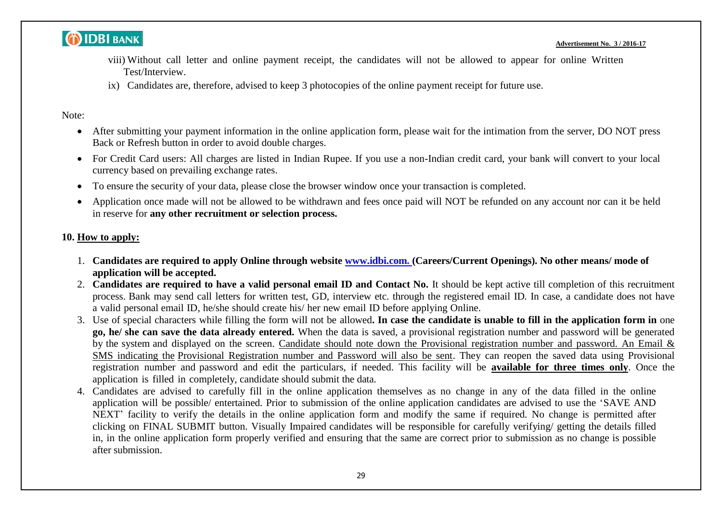

- viii) Without call letter and online payment receipt, the candidates will not be allowed to appear for online Written Test/Interview.
- ix) Candidates are, therefore, advised to keep 3 photocopies of the online payment receipt for future use.

### Note:

- After submitting your payment information in the online application form, please wait for the intimation from the server, DO NOT press Back or Refresh button in order to avoid double charges.
- For Credit Card users: All charges are listed in Indian Rupee. If you use a non-Indian credit card, your bank will convert to your local currency based on prevailing exchange rates.
- To ensure the security of your data, please close the browser window once your transaction is completed.
- Application once made will not be allowed to be withdrawn and fees once paid will NOT be refunded on any account nor can it be held in reserve for **any other recruitment or selection process.**

### **10. How to apply:**

- 1. **Candidates are required to apply Online through website [www.idbi.com.](http://www.idbi.com./) (Careers/Current Openings). No other means/ mode of application will be accepted.**
- 2. Candidates are required to have a valid personal email ID and Contact No. It should be kept active till completion of this recruitment process. Bank may send call letters for written test, GD, interview etc. through the registered email ID. In case, a candidate does not have a valid personal email ID, he/she should create his/ her new email ID before applying Online.
- 3. Use of special characters while filling the form will not be allowed. In case the candidate is unable to fill in the application form in one **go, he/ she can save the data already entered.** When the data is saved, a provisional registration number and password will be generated by the system and displayed on the screen. Candidate should note down the Provisional registration number and password. An Email & SMS indicating the Provisional Registration number and Password will also be sent. They can reopen the saved data using Provisional registration number and password and edit the particulars, if needed. This facility will be **available for three times only**. Once the application is filled in completely, candidate should submit the data.
- 4. Candidates are advised to carefully fill in the online application themselves as no change in any of the data filled in the online application will be possible/ entertained. Prior to submission of the online application candidates are advised to use the "SAVE AND NEXT" facility to verify the details in the online application form and modify the same if required. No change is permitted after clicking on FINAL SUBMIT button. Visually Impaired candidates will be responsible for carefully verifying/ getting the details filled in, in the online application form properly verified and ensuring that the same are correct prior to submission as no change is possible after submission.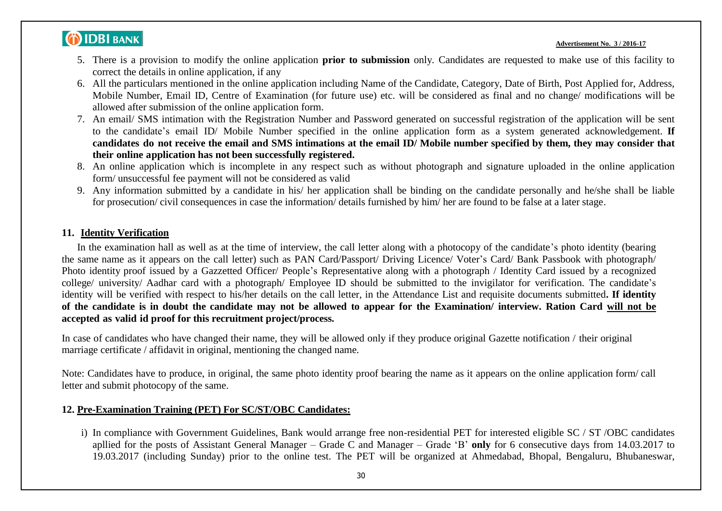#### **Advertisement No. 3 / 2016-17**

- 5. There is a provision to modify the online application **prior to submission** only. Candidates are requested to make use of this facility to correct the details in online application, if any
- 6. All the particulars mentioned in the online application including Name of the Candidate, Category, Date of Birth, Post Applied for, Address, Mobile Number, Email ID, Centre of Examination (for future use) etc. will be considered as final and no change/ modifications will be allowed after submission of the online application form.
- 7. An email/ SMS intimation with the Registration Number and Password generated on successful registration of the application will be sent to the candidate"s email ID/ Mobile Number specified in the online application form as a system generated acknowledgement. **If** candidates do not receive the email and SMS intimations at the email ID/ Mobile number specified by them, they may consider that **their online application has not been successfully registered.**
- 8. An online application which is incomplete in any respect such as without photograph and signature uploaded in the online application form/ unsuccessful fee payment will not be considered as valid
- 9. Any information submitted by a candidate in his/ her application shall be binding on the candidate personally and he/she shall be liable for prosecution/ civil consequences in case the information/ details furnished by him/ her are found to be false at a later stage.

#### **11. Identity Verification**

In the examination hall as well as at the time of interview, the call letter along with a photocopy of the candidate"s photo identity (bearing the same name as it appears on the call letter) such as PAN Card/Passport/ Driving Licence/ Voter"s Card/ Bank Passbook with photograph/ Photo identity proof issued by a Gazzetted Officer/ People"s Representative along with a photograph / Identity Card issued by a recognized college/ university/ Aadhar card with a photograph/ Employee ID should be submitted to the invigilator for verification. The candidate"s identity will be verified with respect to his/her details on the call letter, in the Attendance List and requisite documents submitted**. If identity** of the candidate is in doubt the candidate may not be allowed to appear for the Examination/ interview. Ration Card will not be **accepted as valid id proof for this recruitment project/process.**

In case of candidates who have changed their name, they will be allowed only if they produce original Gazette notification / their original marriage certificate / affidavit in original, mentioning the changed name.

Note: Candidates have to produce, in original, the same photo identity proof bearing the name as it appears on the online application form/ call letter and submit photocopy of the same.

### **12. Pre-Examination Training (PET) For SC/ST/OBC Candidates:**

i) In compliance with Government Guidelines, Bank would arrange free non-residential PET for interested eligible SC / ST /OBC candidates apllied for the posts of Assistant General Manager – Grade C and Manager – Grade "B" **only** for 6 consecutive days from 14.03.2017 to 19.03.2017 (including Sunday) prior to the online test. The PET will be organized at Ahmedabad, Bhopal, Bengaluru, Bhubaneswar,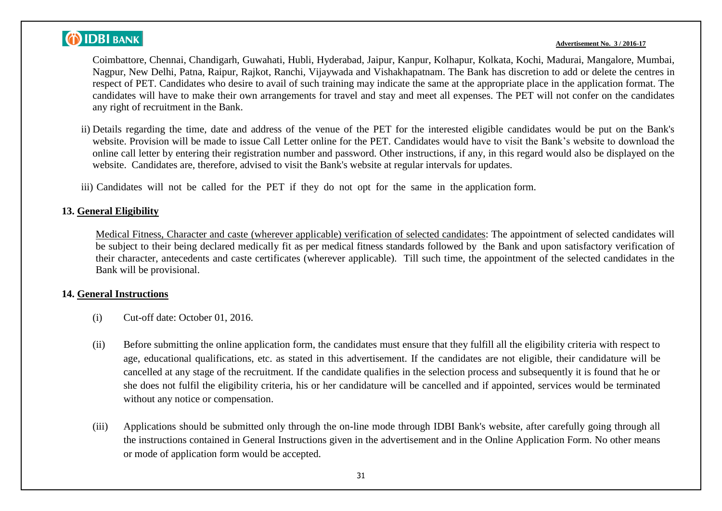#### **Advertisement No. 3 / 2016-17**

Coimbattore, Chennai, Chandigarh, Guwahati, Hubli, Hyderabad, Jaipur, Kanpur, Kolhapur, Kolkata, Kochi, Madurai, Mangalore, Mumbai, Nagpur, New Delhi, Patna, Raipur, Rajkot, Ranchi, Vijaywada and Vishakhapatnam. The Bank has discretion to add or delete the centres in respect of PET. Candidates who desire to avail of such training may indicate the same at the appropriate place in the application format. The candidates will have to make their own arrangements for travel and stay and meet all expenses. The PET will not confer on the candidates any right of recruitment in the Bank.

- ii) Details regarding the time, date and address of the venue of the PET for the interested eligible candidates would be put on the Bank's website. Provision will be made to issue Call Letter online for the PET. Candidates would have to visit the Bank"s website to download the online call letter by entering their registration number and password. Other instructions, if any, in this regard would also be displayed on the website. Candidates are, therefore, advised to visit the Bank's website at regular intervals for updates.
- iii) Candidates will not be called for the PET if they do not opt for the same in the application form.

### **13. General Eligibility**

Medical Fitness, Character and caste (wherever applicable) verification of selected candidates: The appointment of selected candidates will be subject to their being declared medically fit as per medical fitness standards followed by the Bank and upon satisfactory verification of their character, antecedents and caste certificates (wherever applicable). Till such time, the appointment of the selected candidates in the Bank will be provisional.

#### **14. General Instructions**

- (i) Cut-off date: October 01, 2016.
- (ii) Before submitting the online application form, the candidates must ensure that they fulfill all the eligibility criteria with respect to age, educational qualifications, etc. as stated in this advertisement. If the candidates are not eligible, their candidature will be cancelled at any stage of the recruitment. If the candidate qualifies in the selection process and subsequently it is found that he or she does not fulfil the eligibility criteria, his or her candidature will be cancelled and if appointed, services would be terminated without any notice or compensation.
- (iii) Applications should be submitted only through the on-line mode through IDBI Bank's website, after carefully going through all the instructions contained in General Instructions given in the advertisement and in the Online Application Form. No other means or mode of application form would be accepted.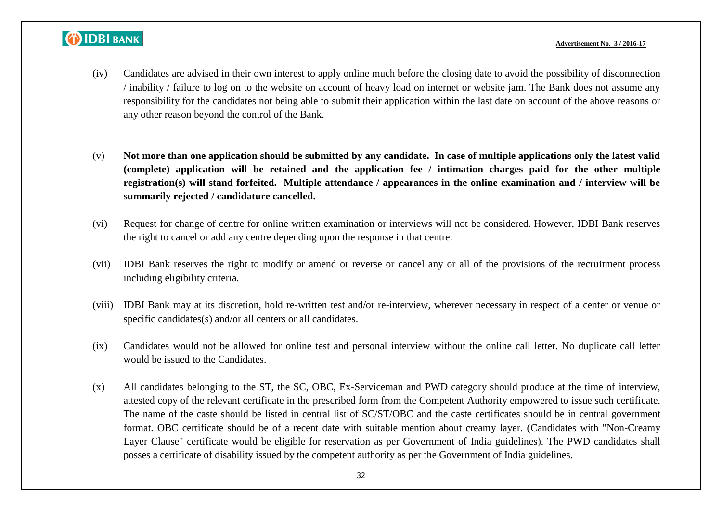#### **Advertisement No. 3 / 2016-17**

- (iv) Candidates are advised in their own interest to apply online much before the closing date to avoid the possibility of disconnection / inability / failure to log on to the website on account of heavy load on internet or website jam. The Bank does not assume any responsibility for the candidates not being able to submit their application within the last date on account of the above reasons or any other reason beyond the control of the Bank.
- (v) **Not more than one application should be submitted by any candidate. In case of multiple applications only the latest valid (complete) application will be retained and the application fee / intimation charges paid for the other multiple registration(s) will stand forfeited. Multiple attendance / appearances in the online examination and / interview will be summarily rejected / candidature cancelled.**
- (vi) Request for change of centre for online written examination or interviews will not be considered. However, IDBI Bank reserves the right to cancel or add any centre depending upon the response in that centre.
- (vii) IDBI Bank reserves the right to modify or amend or reverse or cancel any or all of the provisions of the recruitment process including eligibility criteria.
- (viii) IDBI Bank may at its discretion, hold re-written test and/or re-interview, wherever necessary in respect of a center or venue or specific candidates(s) and/or all centers or all candidates.
- (ix) Candidates would not be allowed for online test and personal interview without the online call letter. No duplicate call letter would be issued to the Candidates.
- (x) All candidates belonging to the ST, the SC, OBC, Ex-Serviceman and PWD category should produce at the time of interview, attested copy of the relevant certificate in the prescribed form from the Competent Authority empowered to issue such certificate. The name of the caste should be listed in central list of SC/ST/OBC and the caste certificates should be in central government format. OBC certificate should be of a recent date with suitable mention about creamy layer. (Candidates with "Non-Creamy Layer Clause" certificate would be eligible for reservation as per Government of India guidelines). The PWD candidates shall posses a certificate of disability issued by the competent authority as per the Government of India guidelines.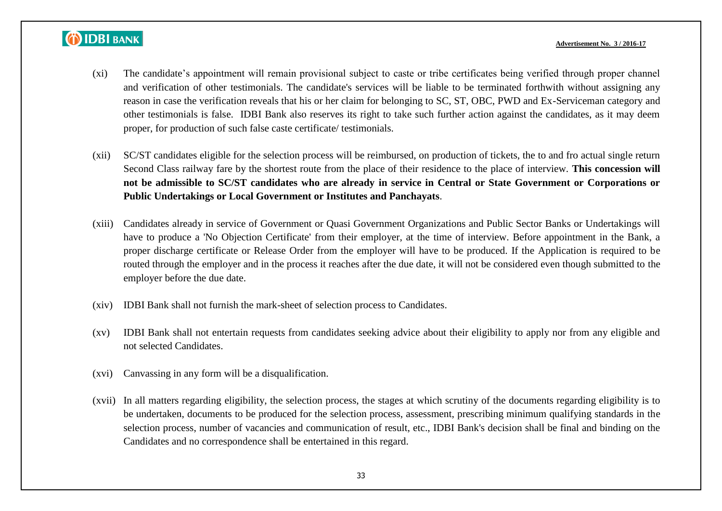#### **Advertisement No. 3 / 2016-17**

- (xi) The candidate"s appointment will remain provisional subject to caste or tribe certificates being verified through proper channel and verification of other testimonials. The candidate's services will be liable to be terminated forthwith without assigning any reason in case the verification reveals that his or her claim for belonging to SC, ST, OBC, PWD and Ex-Serviceman category and other testimonials is false. IDBI Bank also reserves its right to take such further action against the candidates, as it may deem proper, for production of such false caste certificate/ testimonials.
- (xii) SC/ST candidates eligible for the selection process will be reimbursed, on production of tickets, the to and fro actual single return Second Class railway fare by the shortest route from the place of their residence to the place of interview. **This concession will not be admissible to SC/ST candidates who are already in service in Central or State Government or Corporations or Public Undertakings or Local Government or Institutes and Panchayats**.
- (xiii) Candidates already in service of Government or Quasi Government Organizations and Public Sector Banks or Undertakings will have to produce a 'No Objection Certificate' from their employer, at the time of interview. Before appointment in the Bank, a proper discharge certificate or Release Order from the employer will have to be produced. If the Application is required to be routed through the employer and in the process it reaches after the due date, it will not be considered even though submitted to the employer before the due date.
- (xiv) IDBI Bank shall not furnish the mark-sheet of selection process to Candidates.
- (xv) IDBI Bank shall not entertain requests from candidates seeking advice about their eligibility to apply nor from any eligible and not selected Candidates.
- (xvi) Canvassing in any form will be a disqualification.
- (xvii) In all matters regarding eligibility, the selection process, the stages at which scrutiny of the documents regarding eligibility is to be undertaken, documents to be produced for the selection process, assessment, prescribing minimum qualifying standards in the selection process, number of vacancies and communication of result, etc., IDBI Bank's decision shall be final and binding on the Candidates and no correspondence shall be entertained in this regard.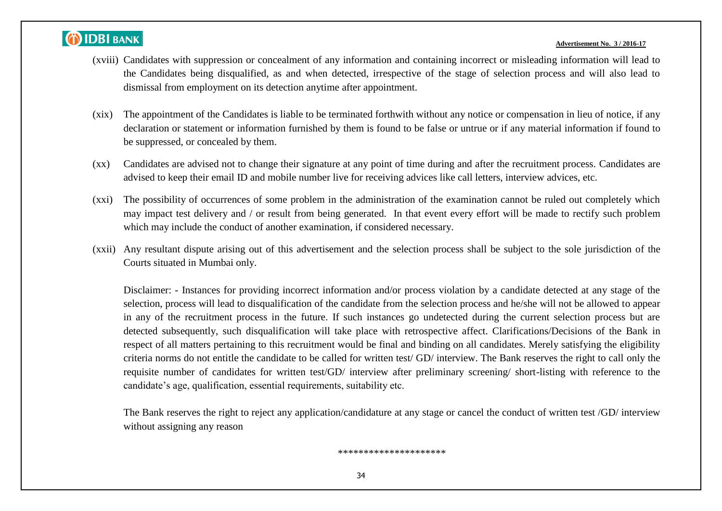#### **Advertisement No. 3 / 2016-17**

- (xviii) Candidates with suppression or concealment of any information and containing incorrect or misleading information will lead to the Candidates being disqualified, as and when detected, irrespective of the stage of selection process and will also lead to dismissal from employment on its detection anytime after appointment.
- (xix) The appointment of the Candidates is liable to be terminated forthwith without any notice or compensation in lieu of notice, if any declaration or statement or information furnished by them is found to be false or untrue or if any material information if found to be suppressed, or concealed by them.
- (xx) Candidates are advised not to change their signature at any point of time during and after the recruitment process. Candidates are advised to keep their email ID and mobile number live for receiving advices like call letters, interview advices, etc.
- (xxi) The possibility of occurrences of some problem in the administration of the examination cannot be ruled out completely which may impact test delivery and / or result from being generated. In that event every effort will be made to rectify such problem which may include the conduct of another examination, if considered necessary.
- (xxii) Any resultant dispute arising out of this advertisement and the selection process shall be subject to the sole jurisdiction of the Courts situated in Mumbai only.

Disclaimer: - Instances for providing incorrect information and/or process violation by a candidate detected at any stage of the selection, process will lead to disqualification of the candidate from the selection process and he/she will not be allowed to appear in any of the recruitment process in the future. If such instances go undetected during the current selection process but are detected subsequently, such disqualification will take place with retrospective affect. Clarifications/Decisions of the Bank in respect of all matters pertaining to this recruitment would be final and binding on all candidates. Merely satisfying the eligibility criteria norms do not entitle the candidate to be called for written test/ GD/ interview. The Bank reserves the right to call only the requisite number of candidates for written test/GD/ interview after preliminary screening/ short-listing with reference to the candidate"s age, qualification, essential requirements, suitability etc.

The Bank reserves the right to reject any application/candidature at any stage or cancel the conduct of written test /GD/ interview without assigning any reason

#### \*\*\*\*\*\*\*\*\*\*\*\*\*\*\*\*\*\*\*\*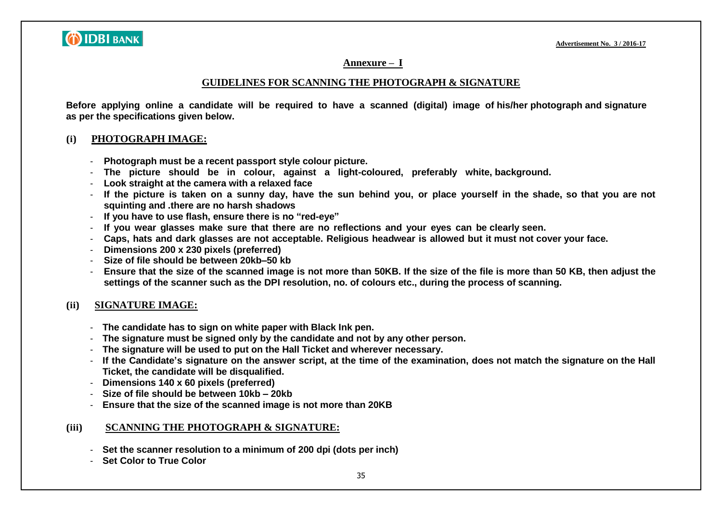

#### **Annexure – I**

#### **GUIDELINES FOR SCANNING THE PHOTOGRAPH & SIGNATURE**

**Before applying online a candidate will be required to have a scanned (digital) image of his/her photograph and signature as per the specifications given below.**

#### **(i) PHOTOGRAPH IMAGE:**

- **Photograph must be a recent passport style colour picture.**
- **The picture should be in colour, against a light-coloured, preferably white, background.**
- **Look straight at the camera with a relaxed face**
- If the picture is taken on a sunny day, have the sun behind you, or place yourself in the shade, so that you are not **squinting and .there are no harsh shadows**
- **If you have to use flash, ensure there is no "red-eye"**
- **If you wear glasses make sure that there are no reflections and your eyes can be clearly seen.**
- Caps, hats and dark glasses are not acceptable. Religious headwear is allowed but it must not cover your face.
- **Dimensions 200 x 230 pixels (preferred)**
- **Size of file should be between 20kb–50 kb**
- Ensure that the size of the scanned image is not more than 50KB. If the size of the file is more than 50 KB, then adjust the **settings of the scanner such as the DPI resolution, no. of colours etc., during the process of scanning.**

### **(ii) SIGNATURE IMAGE:**

- **The candidate has to sign on white paper with Black Ink pen.**
- **The signature must be signed only by the candidate and not by any other person.**
- **The signature will be used to put on the Hall Ticket and wherever necessary.**
- If the Candidate's signature on the answer script, at the time of the examination, does not match the signature on the Hall **Ticket, the candidate will be disqualified.**
- **Dimensions 140 x 60 pixels (preferred)**
- **Size of file should be between 10kb – 20kb**
- **Ensure that the size of the scanned image is not more than 20KB**

#### **(iii) SCANNING THE PHOTOGRAPH & SIGNATURE:**

- **Set the scanner resolution to a minimum of 200 dpi (dots per inch)**
- **Set Color to True Color**